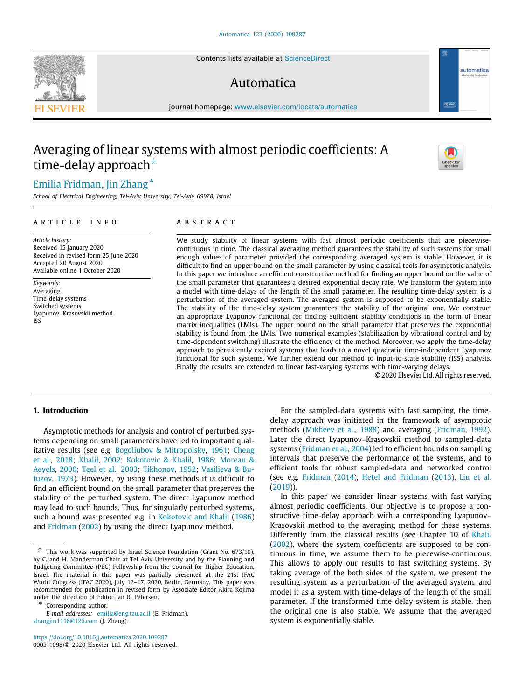Contents lists available at [ScienceDirect](http://www.elsevier.com/locate/automatica)

# Automatica

journal homepage: [www.elsevier.com/locate/automatica](http://www.elsevier.com/locate/automatica)

# Averaging of linear systems with almost periodic coefficients: A time-delay approach<sup>☆</sup>

# [Emilia](#page-11-0) [Fridman](#page-11-0), [Jin](#page-11-1) [Zhang](#page-11-1) [∗](#page-0-1)

*School of Electrical Engineering, Tel-Aviv University, Tel-Aviv 69978, Israel*

#### A R T I C L E I N F O

*Article history:* Received 15 January 2020 Received in revised form 25 June 2020 Accepted 20 August 2020 Available online 1 October 2020

*Keywords:* Averaging Time-delay systems Switched systems Lyapunov–Krasovskii method ISS

# A B S T R A C T

We study stability of linear systems with fast almost periodic coefficients that are piecewisecontinuous in time. The classical averaging method guarantees the stability of such systems for small enough values of parameter provided the corresponding averaged system is stable. However, it is difficult to find an upper bound on the small parameter by using classical tools for asymptotic analysis. In this paper we introduce an efficient constructive method for finding an upper bound on the value of the small parameter that guarantees a desired exponential decay rate. We transform the system into a model with time-delays of the length of the small parameter. The resulting time-delay system is a perturbation of the averaged system. The averaged system is supposed to be exponentially stable. The stability of the time-delay system guarantees the stability of the original one. We construct an appropriate Lyapunov functional for finding sufficient stability conditions in the form of linear matrix inequalities (LMIs). The upper bound on the small parameter that preserves the exponential stability is found from the LMIs. Two numerical examples (stabilization by vibrational control and by time-dependent switching) illustrate the efficiency of the method. Moreover, we apply the time-delay approach to persistently excited systems that leads to a novel quadratic time-independent Lyapunov functional for such systems. We further extend our method to input-to-state stability (ISS) analysis. Finally the results are extended to linear fast-varying systems with time-varying delays.

© 2020 Elsevier Ltd. All rights reserved.

# **1. Introduction**

Asymptotic methods for analysis and control of perturbed systems depending on small parameters have led to important qualitative results (see e.g. [Bogoliubov & Mitropolsky](#page-10-0), [1961](#page-10-0); [Cheng](#page-10-1) [et al.,](#page-10-1) [2018;](#page-10-1) [Khalil,](#page-10-2) [2002;](#page-10-2) [Kokotovic & Khalil,](#page-10-3) [1986;](#page-10-3) [Moreau &](#page-10-4) [Aeyels,](#page-10-4) [2000;](#page-10-4) [Teel et al.,](#page-10-5) [2003](#page-10-5); [Tikhonov](#page-11-2), [1952;](#page-11-2) [Vasilieva & Bu](#page-11-3)[tuzov](#page-11-3), [1973](#page-11-3)). However, by using these methods it is difficult to find an efficient bound on the small parameter that preserves the stability of the perturbed system. The direct Lyapunov method may lead to such bounds. Thus, for singularly perturbed systems, such a bound was presented e.g. in [Kokotovic and Khalil](#page-10-3) [\(1986\)](#page-10-3) and [Fridman](#page-10-6) [\(2002\)](#page-10-6) by using the direct Lyapunov method.

<span id="page-0-1"></span>∗ Corresponding author.

*E-mail addresses:* [emilia@eng.tau.ac.il](mailto:emilia@eng.tau.ac.il) (E. Fridman), [zhangjin1116@126.com](mailto:zhangjin1116@126.com) (J. Zhang).

<https://doi.org/10.1016/j.automatica.2020.109287> 0005-1098/© 2020 Elsevier Ltd. All rights reserved.

For the sampled-data systems with fast sampling, the timedelay approach was initiated in the framework of asymptotic methods ([Mikheev et al.,](#page-10-7) [1988\)](#page-10-7) and averaging ([Fridman,](#page-10-8) [1992\)](#page-10-8). Later the direct Lyapunov–Krasovskii method to sampled-data systems ([Fridman et al.,](#page-10-9) [2004](#page-10-9)) led to efficient bounds on sampling intervals that preserve the performance of the systems, and to efficient tools for robust sampled-data and networked control (see e.g. [Fridman](#page-10-10) [\(2014\)](#page-10-10), [Hetel and Fridman](#page-10-11) [\(2013](#page-10-11)), [Liu et al.](#page-10-12) ([2019\)](#page-10-12)).

In this paper we consider linear systems with fast-varying almost periodic coefficients. Our objective is to propose a constructive time-delay approach with a corresponding Lyapunov– Krasovskii method to the averaging method for these systems. Differently from the classical results (see Chapter 10 of [Khalil](#page-10-2) ([2002\)](#page-10-2), where the system coefficients are supposed to be continuous in time, we assume them to be piecewise-continuous. This allows to apply our results to fast switching systems. By taking average of the both sides of the system, we present the resulting system as a perturbation of the averaged system, and model it as a system with time-delays of the length of the small parameter. If the transformed time-delay system is stable, then the original one is also stable. We assume that the averaged system is exponentially stable.







<span id="page-0-0"></span> $\overrightarrow{x}$  This work was supported by Israel Science Foundation (Grant No. 673/19), by C. and H. Manderman Chair at Tel Aviv University and by the Planning and Budgeting Committee (PBC) Fellowship from the Council for Higher Education, Israel. The material in this paper was partially presented at the 21st IFAC World Congress (IFAC 2020), July 12–17, 2020, Berlin, Germany. This paper was recommended for publication in revised form by Associate Editor Akira Kojima under the direction of Editor Ian R. Petersen.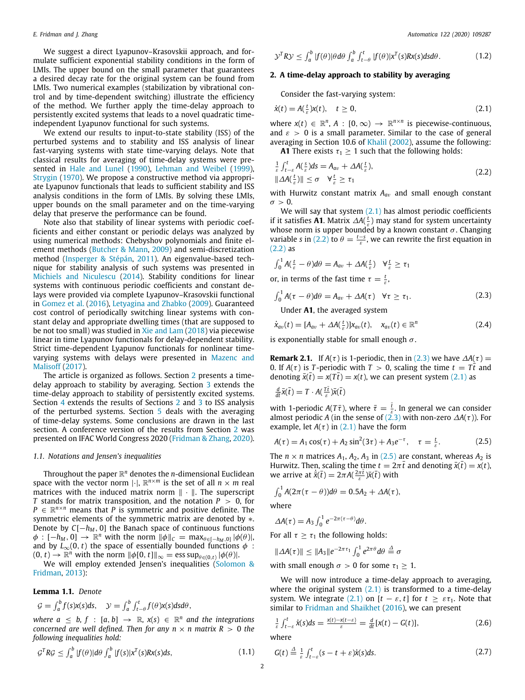We suggest a direct Lyapunov–Krasovskii approach, and formulate sufficient exponential stability conditions in the form of LMIs. The upper bound on the small parameter that guarantees a desired decay rate for the original system can be found from LMIs. Two numerical examples (stabilization by vibrational control and by time-dependent switching) illustrate the efficiency of the method. We further apply the time-delay approach to persistently excited systems that leads to a novel quadratic timeindependent Lyapunov functional for such systems.

We extend our results to input-to-state stability (ISS) of the perturbed systems and to stability and ISS analysis of linear fast-varying systems with state time-varying delays. Note that classical results for averaging of time-delay systems were presented in [Hale and Lunel](#page-10-13) ([1990](#page-10-13)), [Lehman and Weibel](#page-10-14) [\(1999\)](#page-10-14), [Strygin](#page-10-15) [\(1970](#page-10-15)). We propose a constructive method via appropriate Lyapunov functionals that leads to sufficient stability and ISS analysis conditions in the form of LMIs. By solving these LMIs, upper bounds on the small parameter and on the time-varying delay that preserve the performance can be found.

Note also that stability of linear systems with periodic coefficients and either constant or periodic delays was analyzed by using numerical methods: Chebyshov polynomials and finite element methods [\(Butcher & Mann,](#page-10-16) [2009\)](#page-10-16) and semi-discretization method [\(Insperger & Stépán](#page-10-17), [2011](#page-10-17)). An eigenvalue-based technique for stability analysis of such systems was presented in [Michiels and Niculescu](#page-10-18) [\(2014\)](#page-10-18). Stability conditions for linear systems with continuous periodic coefficients and constant delays were provided via complete Lyapunov–Krasovskii functional in [Gomez et al.](#page-10-19) [\(2016](#page-10-19)), [Letyagina and Zhabko](#page-10-20) [\(2009\)](#page-10-20). Guaranteed cost control of periodically switching linear systems with constant delay and appropriate dwelling times (that are supposed to be not too small) was studied in [Xie and Lam](#page-11-4) [\(2018](#page-11-4)) via piecewise linear in time Lyapunov functionals for delay-dependent stability. Strict time-dependent Lyapunov functionals for nonlinear timevarying systems with delays were presented in [Mazenc and](#page-10-21) [Malisoff](#page-10-21) [\(2017\)](#page-10-21).

The article is organized as follows. Section [2](#page-1-0) presents a timedelay approach to stability by averaging. Section [3](#page-4-0) extends the time-delay approach to stability of persistently excited systems. Section [4](#page-5-0) extends the results of Sections [2](#page-1-0) and [3](#page-4-0) to ISS analysis of the perturbed systems. Section [5](#page-7-0) deals with the averaging of time-delay systems. Some conclusions are drawn in the last section. A conference version of the results from Section [2](#page-1-0) was presented on IFAC World Congress 2020 [\(Fridman & Zhang,](#page-10-22) [2020\)](#page-10-22).

#### *1.1. Notations and Jensen's inequalities*

Throughout the paper R *<sup>n</sup>* denotes the *n*-dimensional Euclidean space with the vector norm  $|\cdot|$ ,  $\mathbb{R}^{n \times m}$  is the set of all  $n \times m$  real matrices with the induced matrix norm ∥ · ∥. The superscript *T* stands for matrix transposition, and the notation *P* > 0, for  $P \in \mathbb{R}^{n \times n}$  means that *P* is symmetric and positive definite. The symmetric elements of the symmetric matrix are denoted by  $*$ . Denote by  $C[-h_M, 0]$  the Banach space of continuous functions  $\phi$  :  $[-h_M, 0] \to \mathbb{R}^n$  with the norm  $\|\phi\|_C = \max_{\theta \in [-h_M, 0]} |\phi(\theta)|$ , and by  $L_{\infty}(0, t)$  the space of essentially bounded functions  $\phi$ :  $(0, t) \rightarrow \mathbb{R}^n$  with the norm  $\|\phi[0, t]\|_{\infty} = \text{ess sup}_{\theta \in (0, t)} |\phi(\theta)|$ .

We will employ extended Jensen's inequalities [\(Solomon &](#page-10-23) [Fridman,](#page-10-23) [2013\)](#page-10-23):

#### **Lemma 1.1.** *Denote*

$$
\mathcal{G} = \int_a^b f(s)x(s)ds, \quad \mathcal{Y} = \int_a^b \int_{t-\theta}^t f(\theta)x(s)dsd\theta,
$$

*where*  $a \leq b, f : [a, b] \rightarrow \mathbb{R}, x(s) \in \mathbb{R}^n$  and the integrations *concerned are well defined. Then for any n*  $\times$  *n matrix R*  $>$  0 *the following inequalities hold:*

$$
\mathcal{G}^T R \mathcal{G} \le \int_a^b |f(\theta)| d\theta \int_a^b |f(s)| x^T(s) R x(s) ds, \tag{1.1}
$$

$$
\mathcal{Y}^T R \mathcal{Y} \le \int_a^b |f(\theta)| \theta d\theta \int_a^b \int_{t-\theta}^t |f(\theta)| x^T(s) R x(s) ds d\theta. \tag{1.2}
$$

# **2. A time-delay approach to stability by averaging**

<span id="page-1-8"></span><span id="page-1-1"></span><span id="page-1-0"></span>Consider the fast-varying system:

$$
\dot{x}(t) = A\left(\frac{t}{\varepsilon}\right)x(t), \quad t \ge 0,\tag{2.1}
$$

where  $x(t) \in \mathbb{R}^n$ ,  $A : [0, \infty) \to \mathbb{R}^{n \times n}$  is piecewise-continuous, and  $\varepsilon > 0$  is a small parameter. Similar to the case of general averaging in Section 10.6 of [Khalil](#page-10-2) ([2002](#page-10-2)), assume the following: **A1** There exists  $\tau_1 \geq 1$  such that the following holds:

<span id="page-1-2"></span> $\frac{1}{\varepsilon} \int_{t-\varepsilon}^{t} A(\frac{s}{\varepsilon}) ds = A_{av} + \Delta A(\frac{t}{\varepsilon}),$  $||\Delta A(\frac{t}{ε})|| \leq σ \quad \forall \frac{t}{ε} \geq τ_1$ (2.2)

with Hurwitz constant matrix *Aa*<sup>v</sup> and small enough constant  $\sigma > 0$ .

We will say that system  $(2.1)$  has almost periodic coefficients if it satisfies **A1**. Matrix  $\Delta A(\frac{t}{\varepsilon})$  may stand for system uncertainty whose norm is upper bounded by a known constant  $\sigma$ . Changing variable *s* in ([2.2](#page-1-2)) to  $\theta = \frac{t-s}{\varepsilon}$ , we can rewrite the first equation in ([2.2](#page-1-2)) as

$$
\int_0^1 A(\tfrac{t}{\varepsilon}-\theta) d\theta = A_{av} + \Delta A(\tfrac{t}{\varepsilon}) \quad \forall \tfrac{t}{\varepsilon} \geq \tau_1
$$

or, in terms of the fast time  $\tau = \frac{t}{\varepsilon}$ ,

$$
\int_0^1 A(\tau - \theta) d\theta = A_{av} + \Delta A(\tau) \quad \forall \tau \ge \tau_1.
$$
\n(2.3)

<span id="page-1-6"></span><span id="page-1-3"></span>Under **A1**, the averaged system

$$
\dot{x}_{av}(t) = [A_{av} + \Delta A(\frac{t}{\varepsilon})]x_{av}(t), \quad x_{av}(t) \in \mathbb{R}^n
$$
\n(2.4)

<span id="page-1-9"></span>is exponentially stable for small enough  $\sigma$ .

**Remark 2.1.** If *A*( $\tau$ ) is 1-periodic, then in ([2.3](#page-1-3)) we have  $\Delta A(\tau)$  = 0. If  $A(\tau)$  is *T*-periodic with  $T > 0$ , scaling the time  $t = T\bar{t}$  and denoting  $\bar{x}(\bar{t}) = x(\bar{t}) = x(t)$ , we can present system ([2.1](#page-1-1)) as

$$
\frac{d}{d\bar{t}}\bar{x}(\bar{t})=T\cdot A(\tfrac{T\bar{t}}{\varepsilon})\bar{x}(\bar{t})
$$

with 1-periodic  $A(T\bar{\tau})$ , where  $\bar{\tau} = \frac{\bar{t}}{\varepsilon}$ . In general we can consider almost periodic *A* (in the sense of  $(2.3)$  with non-zero  $\Delta A(\tau)$ ). For example, let  $A(\tau)$  in [\(2.1\)](#page-1-1) have the form

<span id="page-1-4"></span>
$$
A(\tau) = A_1 \cos(\tau) + A_2 \sin^2(3\tau) + A_3 e^{-\tau}, \quad \tau = \frac{t}{\varepsilon}.
$$
 (2.5)

The  $n \times n$  matrices  $A_1$ ,  $A_2$ ,  $A_3$  in [\(2.5\)](#page-1-4) are constant, whereas  $A_2$  is Hurwitz. Then, scaling the time  $t = 2\pi \bar{t}$  and denoting  $\bar{x}(\bar{t}) = x(t)$ , we arrive at  $\dot{\bar{x}}(\bar{t}) = 2\pi A(\frac{2\pi \bar{t}}{\varepsilon})\bar{x}(\bar{t})$  with

$$
\int_0^1 A(2\pi(\tau-\theta))d\theta = 0.5A_2 + \Delta A(\tau),
$$

where

$$
\Delta A(\tau) = A_3 \int_0^1 e^{-2\pi(\tau - \theta)} d\theta.
$$

For all  $\tau \geq \tau_1$  the following holds:

$$
\|\Delta A(\tau)\| \le \|A_3\|e^{-2\pi\tau_1}\int_0^1 e^{2\pi\theta}d\theta \stackrel{\Delta}{=} \sigma
$$

with small enough  $\sigma > 0$  for some  $\tau_1 \geq 1$ .

We will now introduce a time-delay approach to averaging, where the original system  $(2.1)$  $(2.1)$  is transformed to a time-delay system. We integrate [\(2.1\)](#page-1-1) on  $[t - \varepsilon, t]$  for  $t \geq \varepsilon \tau_1$ . Note that similar to [Fridman and Shaikhet](#page-10-24) [\(2016\)](#page-10-24), we can present

<span id="page-1-5"></span>
$$
\frac{1}{\varepsilon} \int_{t-\varepsilon}^{t} \dot{x}(s) ds = \frac{x(t) - x(t-\varepsilon)}{\varepsilon} = \frac{d}{dt} [x(t) - G(t)], \tag{2.6}
$$

where

<span id="page-1-10"></span><span id="page-1-7"></span>
$$
G(t) \stackrel{\Delta}{=} \frac{1}{\varepsilon} \int_{t-\varepsilon}^{t} (s-t+\varepsilon) \dot{x}(s) ds. \tag{2.7}
$$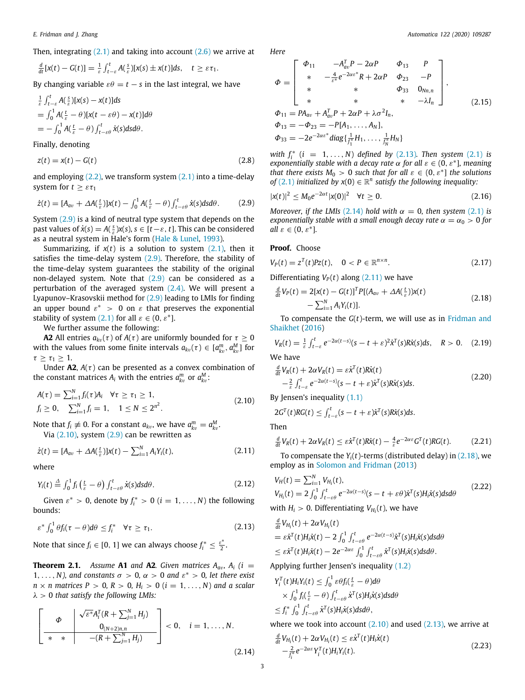Then, integrating [\(2.1\)](#page-1-1) and taking into account [\(2.6](#page-1-5)) we arrive at

$$
\frac{d}{dt}[x(t)-G(t)]=\frac{1}{\varepsilon}\int_{t-\varepsilon}^t A(\frac{s}{\varepsilon})[x(s)\pm x(t)]ds, \quad t\geq \varepsilon\tau_1.
$$

By changing variable  $\varepsilon \theta = t - s$  in the last integral, we have

$$
\frac{1}{\varepsilon} \int_{t-\varepsilon}^{t} A(\frac{s}{\varepsilon}) [x(s) - x(t)] ds
$$
  
=  $\int_{0}^{1} A(\frac{t}{\varepsilon} - \theta) [x(t - \varepsilon \theta) - x(t)] d\theta$   
=  $-\int_{0}^{1} A(\frac{t}{\varepsilon} - \theta) \int_{t-\varepsilon \theta}^{t} \dot{x}(s) ds d\theta.$ 

Finally, denoting

$$
z(t) = x(t) - G(t) \tag{2.8}
$$

and employing  $(2.2)$ , we transform system  $(2.1)$  $(2.1)$  $(2.1)$  into a time-delay system for  $t > \varepsilon \tau_1$ 

$$
\dot{z}(t) = [A_{av} + \Delta A(\frac{t}{\varepsilon})]x(t) - \int_0^1 A(\frac{t}{\varepsilon} - \theta) \int_{t-\varepsilon\theta}^t \dot{x}(s) ds d\theta. \tag{2.9}
$$

System ([2.9](#page-2-0)) is a kind of neutral type system that depends on the past values of  $\dot{x}(s) = A(\frac{s}{\varepsilon})x(s), s \in [t-\varepsilon, t]$ . This can be considered as a neutral system in Hale's form [\(Hale & Lunel,](#page-10-25) [1993](#page-10-25)).

Summarizing, if  $x(t)$  is a solution to system  $(2.1)$  $(2.1)$ , then it satisfies the time-delay system [\(2.9\)](#page-2-0). Therefore, the stability of the time-delay system guarantees the stability of the original non-delayed system. Note that ([2.9](#page-2-0)) can be considered as a perturbation of the averaged system  $(2.4)$ . We will present a Lyapunov–Krasovskii method for ([2.9](#page-2-0)) leading to LMIs for finding an upper bound  $\varepsilon^* > 0$  on  $\varepsilon$  that preserves the exponential stability of system  $(2.1)$  $(2.1)$  for all  $\varepsilon \in (0, \varepsilon^*]$ .

We further assume the following:

**A2** All entries  $a_{kv}(\tau)$  of  $A(\tau)$  are uniformly bounded for  $\tau \ge 0$ with the values from some finite intervals  $a_{kv}(\tau) \in [a_{kv}^m, a_{kv}^M]$  for  $\tau \geq \tau_1 \geq 1.$ 

Under  $A2$ ,  $A(\tau)$  can be presented as a convex combination of the constant matrices  $A_i$  with the entries  $a_{kv}^m$  or  $a_{kv}^M$ :

$$
A(\tau) = \sum_{i=1}^{N} f_i(\tau) A_i \quad \forall \tau \ge \tau_1 \ge 1,
$$
  
\n $f_i \ge 0, \quad \sum_{i=1}^{N} f_i = 1, \quad 1 \le N \le 2^{n^2}.$  (2.10)

Note that  $f_i \neq 0$ . For a constant  $a_{kv}$ , we have  $a_{kv}^m = a_{kv}^M$ . Via  $(2.10)$  $(2.10)$  $(2.10)$ , system  $(2.9)$  $(2.9)$  $(2.9)$  can be rewritten as

$$
\dot{z}(t) = [A_{av} + \Delta A(\frac{t}{\varepsilon})]x(t) - \sum_{i=1}^{N} A_i Y_i(t), \qquad (2.11)
$$

where

$$
Y_i(t) \stackrel{\Delta}{=} \int_0^1 f_i\left(\frac{t}{\varepsilon} - \theta\right) \int_{t-\varepsilon\theta}^t \dot{x}(s) ds d\theta. \tag{2.12}
$$

Given  $\varepsilon^* > 0$ , denote by  $f_i^* > 0$  ( $i = 1, ..., N$ ) the following bounds:

$$
\varepsilon^* \int_0^1 \theta f_i(\tau - \theta) d\theta \le f_i^* \quad \forall \tau \ge \tau_1. \tag{2.13}
$$

<span id="page-2-13"></span>Note that since  $f_i \in [0, 1]$  we can always choose  $f_i^* \leq \frac{\varepsilon^*}{2}$  $\frac{1}{2}$ .

**Theorem 2.1.** Assume **A1** and **A2***. Given matrices*  $A_{av}$ *,*  $A_i$  (*i* = 1, ..., *N*), and constants  $\sigma > 0$ ,  $\alpha > 0$  and  $\varepsilon^* > 0$ , let there exist  $n \times n$  matrices  $P > 0$ ,  $R > 0$ ,  $H_i > 0$  ( $i = 1, \ldots, N$ ) and a scalar λ > 0 *that satisfy the following LMIs:*

$$
\left[\begin{array}{c|c}\n\Phi & \sqrt{\varepsilon^*} A_i^T (R + \sum_{j=1}^N H_j) \\
0_{(N+2)n,n} & (R + \sum_{j=1}^N H_j)\n\end{array}\right] < 0, \quad i = 1, \ldots, N.
$$
\n(2.14)

*E. Fridman and J. Zhang Automatica 122 (2020) 109287*

*Here*

<span id="page-2-11"></span>
$$
\Phi = \begin{bmatrix}\n\Phi_{11} & -A_{av}^T P - 2\alpha P & \Phi_{13} & P \\
* & -\frac{4}{\varepsilon^*} e^{-2\alpha \varepsilon^*} R + 2\alpha P & \Phi_{23} & -P \\
* & * & \Phi_{33} & 0_{Nn,n} \\
* & * & * & -\lambda I_n\n\end{bmatrix},
$$
\n
$$
\Phi_{11} = PA_{av} + A_{av}^T P + 2\alpha P + \lambda \sigma^2 I_n,
$$
\n
$$
\Phi_{13} = -\Phi_{23} = -P[A_1, \dots, A_N],
$$
\n
$$
\Phi_{33} = -2e^{-2\alpha \varepsilon^*} \text{diag}\left\{\frac{1}{I_1^*} H_1, \dots, \frac{1}{I_N^*} H_N\right\}
$$
\n(2.15)

<span id="page-2-14"></span>*with*  $f_i^*$  (*i* = 1, ..., *N*) *defined by* [\(2.13](#page-2-2))*. Then system* [\(2.1\)](#page-1-1) *is exponentially stable with a decay rate*  $\alpha$  for all  $\varepsilon \in (0, \varepsilon^*]$ , meaning *that there exists*  $M_0 > 0$  *such that for all*  $\varepsilon \in (0, \varepsilon^*]$  *the solutions of* [\(2.1\)](#page-1-1) *initialized by*  $x(0) \in \mathbb{R}^n$  *satisfy the following inequality:* 

<span id="page-2-12"></span>
$$
|x(t)|^2 \leq M_0 e^{-2\alpha t} |x(0)|^2 \quad \forall t \geq 0. \tag{2.16}
$$

<span id="page-2-0"></span>*Moreover, if the LMIs* ([2.14\)](#page-2-3) *hold with*  $\alpha = 0$ *, then system* [\(2.1\)](#page-1-1) *is exponentially stable with a small enough decay rate*  $\alpha = \alpha_0 > 0$  *for*  $all \varepsilon \in (0, \varepsilon^*].$ 

# **Proof.** Choose

$$
V_P(t) = z^T(t)Pz(t), \quad 0 < P \in \mathbb{R}^{n \times n}.\tag{2.17}
$$

Differentiating  $V_P(t)$  along ([2.11](#page-2-4)) we have

<span id="page-2-6"></span><span id="page-2-5"></span>
$$
\frac{d}{dt}V_P(t) = 2[x(t) - G(t)]^T P[(A_{av} + \Delta A(\frac{t}{\varepsilon}))x(t) - \sum_{i=1}^N A_i Y_i(t)].
$$
\n(2.18)

To compensate the *G*(*t*)-term, we will use as in [Fridman and](#page-10-24) [Shaikhet](#page-10-24) ([2016\)](#page-10-24)

<span id="page-2-7"></span>
$$
V_R(t) = \frac{1}{\varepsilon} \int_{t-\varepsilon}^t e^{-2\alpha(t-s)} (s-t+\varepsilon)^2 \dot{x}^T(s) R \dot{x}(s) ds, \quad R > 0. \quad (2.19)
$$

We have

$$
\frac{d}{dt}V_R(t) + 2\alpha V_R(t) = \varepsilon \dot{x}^T(t)R\dot{x}(t) \n- \frac{2}{\varepsilon} \int_{t-\varepsilon}^t e^{-2\alpha(t-s)}(s-t+\varepsilon)\dot{x}^T(s)R\dot{x}(s)ds.
$$
\n(2.20)

<span id="page-2-1"></span>By Jensen's inequality ([1.1](#page-1-7))

$$
2G^{T}(t)RG(t) \leq \int_{t-\varepsilon}^{t}(s-t+\varepsilon)\dot{x}^{T}(s)R\dot{x}(s)ds.
$$

Then

<span id="page-2-9"></span>
$$
\frac{d}{dt}V_R(t) + 2\alpha V_R(t) \leq \varepsilon \dot{x}^T(t)R\dot{x}(t) - \frac{4}{\varepsilon}e^{-2\alpha\varepsilon}G^T(t)RG(t).
$$
 (2.21)

<span id="page-2-4"></span>To compensate the  $Y_i(t)$ -terms (distributed delay) in  $(2.18)$  $(2.18)$  $(2.18)$ , we employ as in [Solomon and Fridman](#page-10-23) [\(2013\)](#page-10-23)

<span id="page-2-15"></span><span id="page-2-8"></span>
$$
V_H(t) = \sum_{i=1}^N V_{H_i}(t),
$$
  
\n
$$
V_{H_i}(t) = 2 \int_0^1 \int_{t-\varepsilon\theta}^t e^{-2\alpha(t-s)} (s-t+\varepsilon\theta) \dot{x}^T(s) H_i \dot{x}(s) ds d\theta
$$
\n(2.22)

with  $H_i > 0$ . Differentiating  $V_{H_i}(t)$ , we have

<span id="page-2-2"></span>
$$
\frac{d}{dt}V_{H_i}(t) + 2\alpha V_{H_i}(t)
$$
\n
$$
= \varepsilon \dot{x}^{T}(t)H_{i}\dot{x}(t) - 2\int_{0}^{1}\int_{t-\varepsilon\theta}^{t}e^{-2\alpha(t-s)}\dot{x}^{T}(s)H_{i}\dot{x}(s)dsd\theta
$$
\n
$$
\leq \varepsilon \dot{x}^{T}(t)H_{i}\dot{x}(t) - 2e^{-2\alpha\varepsilon}\int_{0}^{1}\int_{t-\varepsilon\theta}^{t}\dot{x}^{T}(s)H_{i}\dot{x}(s)dsd\theta.
$$

Applying further Jensen's inequality [\(1.2\)](#page-1-8)

$$
Y_i^T(t)H_iY_i(t) \leq \int_0^1 \varepsilon \theta f_i(\frac{t}{\varepsilon} - \theta) d\theta
$$
  
 
$$
\times \int_0^1 f_i(\frac{t}{\varepsilon} - \theta) \int_{t-\varepsilon \theta}^t \dot{x}^T(s) H_i \dot{x}(s) ds d\theta
$$
  
 
$$
\leq f_i^* \int_0^1 \int_{t-\varepsilon \theta}^t \dot{x}^T(s) H_i \dot{x}(s) ds d\theta,
$$

where we took into account  $(2.10)$  and used  $(2.13)$ , we arrive at

<span id="page-2-10"></span><span id="page-2-3"></span>
$$
\frac{d}{dt}V_{H_i}(t) + 2\alpha V_{H_i}(t) \le \varepsilon \dot{x}^T(t)H_i\dot{x}(t) \n- \frac{2}{f_i^*}e^{-2\alpha \varepsilon}Y_i^T(t)H_iY_i(t).
$$
\n(2.23)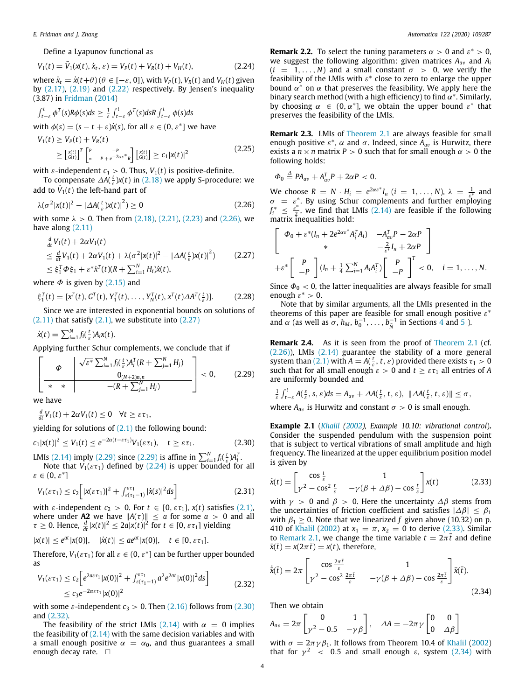Define a Lyapunov functional as

$$
V_1(t) = \bar{V}_1(x(t), \dot{x}_t, \varepsilon) = V_P(t) + V_R(t) + V_H(t),
$$
\n(2.24)

where  $\dot{x}_t = \dot{x}(t+\theta)$  ( $\theta \in [-\varepsilon, 0]$ ), with  $V_P(t)$ ,  $V_R(t)$  and  $V_H(t)$  given by ([2.17](#page-2-6)), [\(2.19\)](#page-2-7) and ([2.22](#page-2-8)) respectively. By Jensen's inequality (3.87) in [Fridman](#page-10-10) ([2014](#page-10-10))

$$
\int_{t-\varepsilon}^{t} \phi^{T}(s) R\phi(s) ds \geq \frac{1}{\varepsilon} \int_{t-\varepsilon}^{t} \phi^{T}(s) ds R \int_{t-\varepsilon}^{t} \phi(s) ds
$$
\nwith  $\phi(s) = (s - t + \varepsilon) \dot{x}(s)$ , for all  $\varepsilon \in (0, \varepsilon^{*}]$  we have\n
$$
V_{1}(t) \geq V_{P}(t) + V_{R}(t)
$$
\n
$$
\geq \left[\begin{matrix} x(t) \\ G(t) \end{matrix}\right]^{T} \left[\begin{matrix} P & -P \\ * & P + e^{-2\alpha \varepsilon^{*}} R \end{matrix}\right] \left[\begin{matrix} x(t) \\ G(t) \end{matrix}\right] \geq c_{1} |x(t)|^{2}
$$
\n(2.25)

with  $\varepsilon$ -independent  $c_1 > 0$ . Thus,  $V_1(t)$  is positive-definite.

To compensate ∆*A*( *t* ε )*x*(*t*) in [\(2.18\)](#page-2-5) we apply S-procedure: we add to  $\dot{V}_1(t)$  the left-hand part of

$$
\lambda(\sigma^2 |x(t)|^2 - |\Delta A(\tfrac{t}{\varepsilon}) x(t)|^2) \ge 0
$$
\n(2.26)

with some  $\lambda > 0$ . Then from ([2.18](#page-2-5)), [\(2.21\)](#page-2-9), [\(2.23\)](#page-2-10) and ([2.26](#page-3-0)), we have along [\(2.11\)](#page-2-4)

$$
\frac{d}{dt}V_1(t) + 2\alpha V_1(t)
$$
\n
$$
\leq \frac{d}{dt}V_1(t) + 2\alpha V_1(t) + \lambda(\sigma^2 |x(t)|^2 - |\Delta A(\frac{t}{\varepsilon})x(t)|^2) \qquad (2.27)
$$
\n
$$
\leq \xi_1^T \Phi \xi_1 + \varepsilon^* \dot{x}^T(t)(R + \sum_{i=1}^N H_i)\dot{x}(t),
$$

where  $\Phi$  is given by ([2.15](#page-2-11)) and

$$
\xi_1^T(t) = [x^T(t), G^T(t), Y_1^T(t), \dots, Y_N^T(t), x^T(t)\Delta A^T(\frac{t}{\varepsilon})].
$$
 (2.28)

Since we are interested in exponential bounds on solutions of  $(2.11)$  $(2.11)$  $(2.11)$  that satisfy  $(2.1)$  $(2.1)$  $(2.1)$ , we substitute into  $(2.27)$ 

$$
\dot{x}(t) = \sum_{i=1}^{N} f_i(\tfrac{t}{\varepsilon}) A_i x(t).
$$

Applying further Schur complements, we conclude that if

$$
\left[\begin{array}{c|c}\n\Phi & \sqrt{\varepsilon^*} \sum_{i=1}^N f_i(\frac{t}{\varepsilon}) A_i^T (R + \sum_{j=1}^N H_j) \\
0_{(N+2)n,n} & -(R + \sum_{j=1}^N H_j)\n\end{array}\right] < 0, \quad (2.29)
$$

we have

*d*

 $\frac{d}{dt}V_1(t) + 2\alpha V_1(t) \leq 0 \quad \forall t \geq \varepsilon \tau_1,$ 

yielding for solutions of  $(2.1)$  $(2.1)$  $(2.1)$  the following bound:

$$
c_1|x(t)|^2 \le V_1(t) \le e^{-2\alpha(t-\varepsilon\tau_1)}V_1(\varepsilon\tau_1), \quad t \ge \varepsilon\tau_1. \tag{2.30}
$$

LMIs ([2.14\)](#page-2-3) imply ([2.29](#page-3-2)) since [\(2.29\)](#page-3-2) is affine in  $\sum_{i=1}^{N} f_i(\frac{t}{\varepsilon}) A_i^T$ .

Note that  $V_1(\varepsilon \tau_1)$  defined by [\(2.24\)](#page-3-3) is upper bounded for all  $\varepsilon \in (0, \varepsilon^*]$ 

$$
V_1(\varepsilon \tau_1) \leq c_2 \bigg[ |x(\varepsilon \tau_1)|^2 + \int_{\varepsilon(\tau_1 - 1)}^{\varepsilon \tau_1} |\dot{x}(s)|^2 ds \bigg] \tag{2.31}
$$

with  $\varepsilon$ -independent  $c_2 > 0$ . For  $t \in [0, \varepsilon \tau_1]$ ,  $x(t)$  satisfies [\(2.1\)](#page-1-1), where under **A2** we have  $||A(\tau)|| \le a$  for some  $a > 0$  and all  $\tau \geq 0$ . Hence,  $\frac{d}{dt} |\mathbf{x}(t)|^2 \leq 2a|\mathbf{x}(t)|^2$  for  $t \in [0, \varepsilon \tau_1]$  yielding

$$
|x(t)| \le e^{at} |x(0)|, \quad |\dot{x}(t)| \le a e^{at} |x(0)|, \quad t \in [0, \varepsilon \tau_1].
$$

Therefore,  $V_1(\varepsilon \tau_1)$  for all  $\varepsilon \in (0, \varepsilon^*]$  can be further upper bounded as

$$
V_1(\varepsilon \tau_1) \leq c_2 \Big[ e^{2a\varepsilon \tau_1} |x(0)|^2 + \int_{\varepsilon(\tau_1 - 1)}^{\varepsilon \tau_1} a^2 e^{2at} |x(0)|^2 ds \Big] \leq c_3 e^{-2\alpha \varepsilon \tau_1} |x(0)|^2 \tag{2.32}
$$

with some  $\varepsilon$ -independent  $c_3 > 0$ . Then [\(2.16](#page-2-12)) follows from [\(2.30\)](#page-3-4) and ([2.32](#page-3-5)).

The feasibility of the strict LMIs [\(2.14\)](#page-2-3) with  $\alpha = 0$  implies the feasibility of  $(2.14)$  $(2.14)$  with the same decision variables and with a small enough positive  $\alpha = \alpha_0$ , and thus guarantees a small enough decay rate.  $\square$ 

<span id="page-3-3"></span>**Remark 2.2.** To select the tuning parameters  $\alpha > 0$  and  $\varepsilon^* > 0$ , we suggest the following algorithm: given matrices  $A_{av}$  and  $A_i$  $(i = 1, \ldots, N)$  and a small constant  $\sigma > 0$ , we verify the feasibility of the LMIs with  $\varepsilon^*$  close to zero to enlarge the upper bound  $\alpha^*$  on  $\alpha$  that preserves the feasibility. We apply here the binary search method (with a high efficiency) to find  $\alpha^*$ . Similarly, by choosing  $\alpha \in (0, \alpha^*]$ , we obtain the upper bound  $\varepsilon^*$  that preserves the feasibility of the LMIs.

<span id="page-3-8"></span>**Remark 2.3.** LMIs of [Theorem](#page-2-13) [2.1](#page-2-13) are always feasible for small enough positive  $\varepsilon^*$ ,  $\alpha$  and  $\sigma$ . Indeed, since  $A_{av}$  is Hurwitz, there exists a  $n \times n$  matrix  $P > 0$  such that for small enough  $\alpha > 0$  the following holds:

$$
\Phi_0\stackrel{\Delta}{=}PA_{av}+A_{av}^TP+2\alpha P<0.
$$

<span id="page-3-0"></span>We choose  $R = N \cdot H_i = e^{2\alpha \varepsilon^*} I_n$   $(i = 1, ..., N)$ ,  $\lambda = \frac{1}{\varepsilon^*}$  and  $\sigma = \varepsilon^*$ . By using Schur complements and further employing  $f_i^* \leq \frac{\varepsilon^*}{2}$  $\frac{\epsilon}{2}$ , we find that LMIs ([2.14\)](#page-2-3) are feasible if the following matrix inequalities hold:

<span id="page-3-1"></span>
$$
\begin{bmatrix}\n\Phi_0 + \varepsilon^* (I_n + 2e^{2\alpha \varepsilon^*} A_i^T A_i) & -A_{av}^T P - 2\alpha P \\
\ast & -\frac{2}{\varepsilon^*} I_n + 2\alpha P\n\end{bmatrix}
$$
\n
$$
+ \varepsilon^* \begin{bmatrix} P \\ -P \end{bmatrix} (I_n + \frac{1}{4} \sum_{i=1}^N A_i A_i^T) \begin{bmatrix} P \\ -P \end{bmatrix}^T < 0, \quad i = 1, ..., N.
$$

<span id="page-3-9"></span>Since  $\Phi_0$  < 0, the latter inequalities are always feasible for small enough  $\varepsilon^* > 0$ .

Note that by similar arguments, all the LMIs presented in the theorems of this paper are feasible for small enough positive  $\varepsilon^*$ and  $\alpha$  (as well as  $\sigma$ ,  $h_M$ ,  $b_0^{-1}$ , ...,  $b_N^{-1}$  in Sections [4](#page-5-0) and [5](#page-7-0) ).

**Remark 2.4.** As it is seen from the proof of [Theorem](#page-2-13) [2.1](#page-2-13) (cf. ([2.26](#page-3-0))), LMIs [\(2.14\)](#page-2-3) guarantee the stability of a more general system than ([2.1](#page-1-1)) with  $A = A(\frac{t}{\varepsilon}, t, \varepsilon)$  provided there exists  $\tau_1 > 0$ such that for all small enough  $\varepsilon > 0$  and  $t \geq \varepsilon \tau_1$  all entries of A are uniformly bounded and

<span id="page-3-2"></span>
$$
\frac{1}{\varepsilon}\int_{t-\varepsilon}^t A(\tfrac{s}{\varepsilon},s,\varepsilon)ds = A_{av} + \Delta A(\tfrac{t}{\varepsilon},t,\varepsilon), \|\Delta A(\tfrac{t}{\varepsilon},t,\varepsilon)\| \leq \sigma,
$$

where  $A_{av}$  is Hurwitz and constant  $\sigma > 0$  is small enough.

<span id="page-3-4"></span>**Example 2.1** (*[Khalil](#page-10-2) ([2002](#page-10-2)), Example 10.10: vibrational control*)**.** Consider the suspended pendulum with the suspension point that is subject to vertical vibrations of small amplitude and high frequency. The linearized at the upper equilibrium position model is given by

<span id="page-3-6"></span>
$$
\dot{x}(t) = \begin{bmatrix} \cos\frac{t}{\varepsilon} & 1\\ \gamma^2 - \cos^2\frac{t}{\varepsilon} & -\gamma(\beta + \Delta\beta) - \cos\frac{t}{\varepsilon} \end{bmatrix} x(t) \tag{2.33}
$$

<span id="page-3-10"></span>with  $\gamma > 0$  and  $\beta > 0$ . Here the uncertainty  $\Delta \beta$  stems from the uncertainties of friction coefficient and satisfies  $|\Delta \beta| \leq \beta_1$ with  $\beta_1 \geq 0$ . Note that we linearized *f* given above (10.32) on p. 410 of [Khalil](#page-10-2) [\(2002](#page-10-2)) at  $x_1 = \pi$ ,  $x_2 = 0$  to derive ([2.33](#page-3-6)). Similar to [Remark](#page-1-9) [2.1](#page-1-9), we change the time variable  $t = 2\pi t$  and define  $\bar{x}(\bar{t}) = x(2\pi \bar{t}) = x(t)$ , therefore,

<span id="page-3-5"></span>
$$
\dot{\bar{x}}(\bar{t}) = 2\pi \begin{bmatrix} \cos \frac{2\pi \bar{t}}{\varepsilon} & 1\\ \gamma^2 - \cos^2 \frac{2\pi \bar{t}}{\varepsilon} & -\gamma(\beta + \Delta \beta) - \cos \frac{2\pi \bar{t}}{\varepsilon} \end{bmatrix} \bar{x}(\bar{t}).
$$
\n(2.34)

Then we obtain

<span id="page-3-7"></span>
$$
A_{av} = 2\pi \begin{bmatrix} 0 & 1 \\ \gamma^2 - 0.5 & -\gamma \beta \end{bmatrix}, \quad \Delta A = -2\pi \gamma \begin{bmatrix} 0 & 0 \\ 0 & \Delta \beta \end{bmatrix}
$$

with  $\sigma = 2\pi \gamma \beta_1$ . It follows from Theorem 10.4 of [Khalil](#page-10-2) [\(2002\)](#page-10-2) that for  $\gamma^2$  < 0.5 and small enough  $\varepsilon$ , system ([2.34](#page-3-7)) with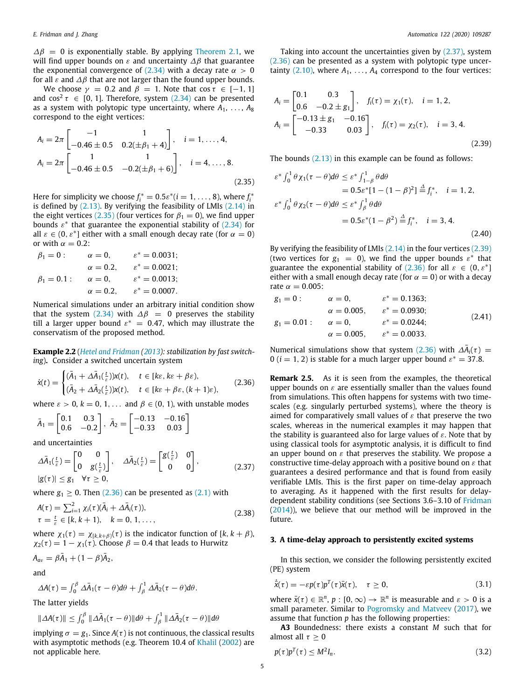$\Delta\beta = 0$  is exponentially stable. By applying [Theorem](#page-2-13) [2.1](#page-2-13), we will find upper bounds on  $\varepsilon$  and uncertainty  $\Delta\beta$  that guarantee the exponential convergence of [\(2.34\)](#page-3-7) with a decay rate  $\alpha > 0$ for all  $\varepsilon$  and  $\Delta\beta$  that are not larger than the found upper bounds.

We choose  $\gamma = 0.2$  and  $\beta = 1$ . Note that cos  $\tau \in [-1, 1]$ and cos<sup>2</sup>  $\tau \in [0, 1]$ . Therefore, system [\(2.34\)](#page-3-7) can be presented as a system with polytopic type uncertainty, where  $A_1, \ldots, A_8$ correspond to the eight vertices:

$$
A_{i} = 2\pi \begin{bmatrix} -1 & 1 \\ -0.46 \pm 0.5 & 0.2(\pm \beta_{1} + 4) \end{bmatrix}, \quad i = 1, ..., 4,
$$
  

$$
A_{i} = 2\pi \begin{bmatrix} 1 & 1 \\ -0.46 \pm 0.5 & -0.2(\pm \beta_{1} + 6) \end{bmatrix}, \quad i = 4, ..., 8.
$$
 (2.35)

Here for simplicity we choose  $f_i^* = 0.5\varepsilon^*(i = 1, \ldots, 8)$ , where  $f_i^*$ is defined by  $(2.13)$  $(2.13)$ . By verifying the feasibility of LMIs  $(2.14)$  $(2.14)$  $(2.14)$  in the eight vertices [\(2.35\)](#page-4-1) (four vertices for  $\beta_1 = 0$ ), we find upper bounds  $\varepsilon^*$  that guarantee the exponential stability of ([2.34](#page-3-7)) for all  $\varepsilon \in (0, \varepsilon^*]$  either with a small enough decay rate (for  $\alpha = 0$ ) or with  $\alpha = 0.2$ :

$$
\beta_1 = 0: \qquad \alpha = 0, \qquad \varepsilon^* = 0.0031; \n\alpha = 0.2, \qquad \varepsilon^* = 0.0021; \n\beta_1 = 0.1: \qquad \alpha = 0, \qquad \varepsilon^* = 0.0013; \n\alpha = 0.2, \qquad \varepsilon^* = 0.0007.
$$

Numerical simulations under an arbitrary initial condition show that the system [\(2.34\)](#page-3-7) with  $\Delta \beta = 0$  preserves the stability till a larger upper bound  $\varepsilon^* = 0.47$ , which may illustrate the conservatism of the proposed method.

<span id="page-4-7"></span>**Example 2.2** (*[Hetel and Fridman](#page-10-11) [\(2013\)](#page-10-11): stabilization by fast switching*)**.** Consider a switched uncertain system

$$
\dot{x}(t) = \begin{cases}\n(\bar{A}_1 + \Delta \bar{A}_1(\frac{t}{\varepsilon}))x(t), & t \in [k\varepsilon, k\varepsilon + \beta\varepsilon), \\
(\bar{A}_2 + \Delta \bar{A}_2(\frac{t}{\varepsilon}))x(t), & t \in [k\varepsilon + \beta\varepsilon, (k+1)\varepsilon),\n\end{cases}
$$
\n(2.36)

where  $\varepsilon > 0$ ,  $k = 0, 1, \ldots$  and  $\beta \in (0, 1)$ , with unstable modes

$$
\bar{A}_1 = \begin{bmatrix} 0.1 & 0.3 \\ 0.6 & -0.2 \end{bmatrix}, \ \bar{A}_2 = \begin{bmatrix} -0.13 & -0.16 \\ -0.33 & 0.03 \end{bmatrix}
$$

and uncertainties

$$
\Delta \bar{A}_1(\frac{t}{\varepsilon}) = \begin{bmatrix} 0 & 0 \\ 0 & g(\frac{t}{\varepsilon}) \end{bmatrix}, \quad \Delta \bar{A}_2(\frac{t}{\varepsilon}) = \begin{bmatrix} g(\frac{t}{\varepsilon}) & 0 \\ 0 & 0 \end{bmatrix},
$$
\n
$$
|g(\tau)| \le g_1 \quad \forall \tau \ge 0,
$$
\n(2.37)

where  $g_1 \geq 0$ . Then [\(2.36\)](#page-4-2) can be presented as [\(2.1\)](#page-1-1) with

$$
A(\tau) = \sum_{i=1}^{2} \chi_i(\tau) (\bar{A}_i + \Delta \bar{A}_i(\tau)),
$$
  
\n
$$
\tau = \frac{t}{\varepsilon} \in [k, k+1), \quad k = 0, 1, ...,
$$
\n(2.38)

where  $\chi_1(\tau) = \chi_{[k,k+\beta]}(\tau)$  is the indicator function of  $[k, k+\beta)$ ,  $\chi_2(\tau) = 1 - \chi_1(\tau)$ . Choose  $\beta = 0.4$  that leads to Hurwitz

$$
A_{av} = \beta \bar{A}_1 + (1 - \beta) \bar{A}_2,
$$

and

$$
\Delta A(\tau) = \int_0^\beta \Delta \bar{A}_1(\tau - \theta) d\theta + \int_\beta^1 \Delta \bar{A}_2(\tau - \theta) d\theta.
$$

The latter yields

$$
\|\Delta A(\tau)\| \le \int_0^\beta \|\Delta \bar{A}_1(\tau - \theta)\| d\theta + \int_\beta^1 \|\Delta \bar{A}_2(\tau - \theta)\| d\theta
$$

implying  $\sigma = g_1$ . Since  $A(\tau)$  is not continuous, the classical results with asymptotic methods (e.g. Theorem 10.4 of [Khalil](#page-10-2) ([2002\)](#page-10-2) are not applicable here.

Taking into account the uncertainties given by [\(2.37\)](#page-4-3), system ([2.36](#page-4-2)) can be presented as a system with polytopic type uncertainty  $(2.10)$  $(2.10)$ , where  $A_1, \ldots, A_4$  correspond to the four vertices:

$$
A_{i} = \begin{bmatrix} 0.1 & 0.3\\ 0.6 & -0.2 \pm g_1 \end{bmatrix}, \quad f_{i}(\tau) = \chi_{1}(\tau), \quad i = 1, 2,
$$
  

$$
A_{i} = \begin{bmatrix} -0.13 \pm g_1 & -0.16\\ -0.33 & 0.03 \end{bmatrix}, \quad f_{i}(\tau) = \chi_{2}(\tau), \quad i = 3, 4.
$$
 (2.39)

The bounds  $(2.13)$  in this example can be found as follows:

<span id="page-4-4"></span><span id="page-4-1"></span>
$$
\varepsilon^* \int_0^1 \theta \chi_1(\tau - \theta) d\theta \le \varepsilon^* \int_{1-\beta}^1 \theta d\theta
$$
  
= 0.5\varepsilon^\* [1 - (1 - \beta)^2]  $\stackrel{\Delta}{=} f_i^*$ ,  $i = 1, 2$ ,  

$$
\varepsilon^* \int_0^1 \theta \chi_2(\tau - \theta) d\theta \le \varepsilon^* \int_\beta^1 \theta d\theta
$$
  
= 0.5\varepsilon^\* (1 - \beta^2)  $\stackrel{\Delta}{=} f_i^*$ ,  $i = 3, 4$ .  
(2.40)

By verifying the feasibility of LMIs  $(2.14)$  in the four vertices  $(2.39)$ (two vertices for  $g_1 = 0$ ), we find the upper bounds  $\varepsilon^*$  that guarantee the exponential stability of  $(2.36)$  $(2.36)$  $(2.36)$  for all  $\varepsilon \in (0, \varepsilon^*]$ either with a small enough decay rate (for  $\alpha = 0$ ) or with a decay rate  $\alpha = 0.005$ :

<span id="page-4-9"></span>
$$
g_1 = 0:
$$
  $\alpha = 0,$   $\varepsilon^* = 0.1363;$   
\n $\alpha = 0.005,$   $\varepsilon^* = 0.0930;$   
\n $g_1 = 0.01:$   $\alpha = 0,$   $\varepsilon^* = 0.0244;$  (2.41)  
\n $\alpha = 0.005,$   $\varepsilon^* = 0.0033.$ 

Numerical simulations show that system [\(2.36\)](#page-4-2) with  $\Delta \bar{A}_i(\tau)$  = 0 ( $i = 1, 2$ ) is stable for a much larger upper bound  $\varepsilon^* = 37.8$ .

<span id="page-4-2"></span>**Remark 2.5.** As it is seen from the examples, the theoretical upper bounds on  $\varepsilon$  are essentially smaller than the values found from simulations. This often happens for systems with two timescales (e.g. singularly perturbed systems), where the theory is aimed for comparatively small values of  $\varepsilon$  that preserve the two scales, whereas in the numerical examples it may happen that the stability is guaranteed also for large values of  $\varepsilon$ . Note that by using classical tools for asymptotic analysis, it is difficult to find an upper bound on  $\varepsilon$  that preserves the stability. We propose a constructive time-delay approach with a positive bound on  $\varepsilon$  that guarantees a desired performance and that is found from easily verifiable LMIs. This is the first paper on time-delay approach to averaging. As it happened with the first results for delaydependent stability conditions (see Sections 3.6–3.10 of [Fridman](#page-10-10) ([2014\)](#page-10-10)), we believe that our method will be improved in the future.

#### <span id="page-4-8"></span><span id="page-4-3"></span>**3. A time-delay approach to persistently excited systems**

<span id="page-4-0"></span>In this section, we consider the following persistently excited (PE) system

<span id="page-4-5"></span>
$$
\dot{\bar{x}}(\tau) = -\varepsilon p(\tau) p^T(\tau) \bar{x}(\tau), \quad \tau \ge 0,
$$
\n(3.1)

where  $\bar{x}(\tau) \in \mathbb{R}^n$ ,  $p : [0, \infty) \to \mathbb{R}^n$  is measurable and  $\varepsilon > 0$  is a small parameter. Similar to [Pogromsky and Matveev](#page-10-26) ([2017](#page-10-26)), we assume that function *p* has the following properties:

**A3** Boundedness: there exists a constant *M* such that for almost all  $\tau > 0$ 

<span id="page-4-6"></span>
$$
p(\tau)p^{T}(\tau) \leq M^{2}I_{n}.\tag{3.2}
$$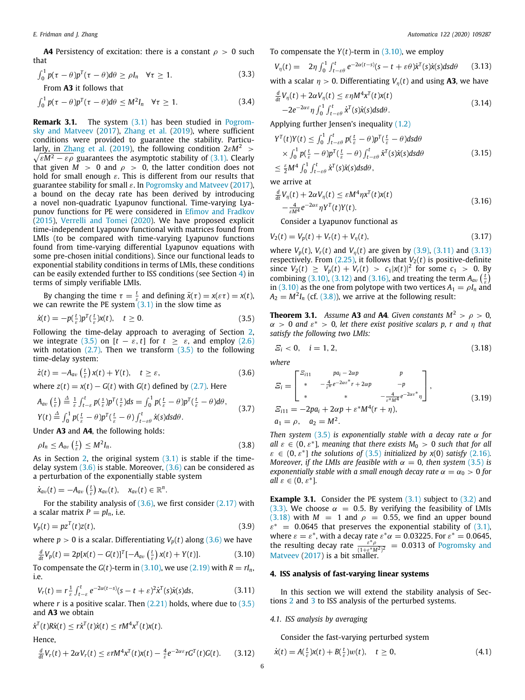**A4** Persistency of excitation: there is a constant  $\rho > 0$  such that

$$
\int_0^1 p(\tau - \theta) p^T(\tau - \theta) d\theta \ge \rho I_n \quad \forall \tau \ge 1.
$$
 (3.3)

From **A3** it follows that

$$
\int_0^1 p(\tau - \theta) p^T(\tau - \theta) d\theta \le M^2 I_n \quad \forall \tau \ge 1.
$$
 (3.4)

**Remark 3.1.** The system [\(3.1](#page-4-5)) has been studied in [Pogrom](#page-10-26)[sky and Matveev](#page-10-26) ([2017](#page-10-26)), [Zhang et al.](#page-11-5) [\(2019\)](#page-11-5), where sufficient conditions were provided to guarantee the stability. Particu-lar<u>ly, in Zhang</u> et al. ([2019](#page-11-5)), the following condition  $2\varepsilon M^2$   $>$  $\sqrt{\varepsilon M^2-\varepsilon \rho}$  guarantees the asymptotic stability of [\(3.1\)](#page-4-5). Clearly that given  $M > 0$  and  $\rho > 0$ , the latter condition does not hold for small enough  $\varepsilon$ . This is different from our results that guarantee stability for small  $\varepsilon$ . In [Pogromsky and Matveev](#page-10-26) [\(2017\)](#page-10-26), a bound on the decay rate has been derived by introducing a novel non-quadratic Lyapunov functional. Time-varying Lyapunov functions for PE were considered in [Efimov and Fradkov](#page-10-27) ([2015\)](#page-10-27), [Verrelli and Tomei](#page-11-6) ([2020](#page-11-6)). We have proposed explicit time-independent Lyapunov functional with matrices found from LMIs (to be compared with time-varying Lyapunov functions found from time-varying differential Lyapunov equations with some pre-chosen initial conditions). Since our functional leads to exponential stability conditions in terms of LMIs, these conditions can be easily extended further to ISS conditions (see Section [4\)](#page-5-0) in terms of simply verifiable LMIs.

By changing the time  $\tau = \frac{t}{\varepsilon}$  and defining  $\bar{x}(\tau) = x(\varepsilon \tau) = x(t)$ , we can rewrite the PE system  $(3.1)$  in the slow time as

$$
\dot{x}(t) = -p(\frac{t}{\varepsilon})p^T(\frac{t}{\varepsilon})x(t), \quad t \ge 0.
$$
\n(3.5)

Following the time-delay approach to averaging of Section [2,](#page-1-0) we integrate [\(3.5\)](#page-5-1) on  $[t - \varepsilon, t]$  for  $t \geq \varepsilon$ , and employ [\(2.6\)](#page-1-5) with notation  $(2.7)$ . Then we transform  $(3.5)$  $(3.5)$  $(3.5)$  to the following time-delay system:

$$
\dot{z}(t) = -A_{av}\left(\frac{t}{\varepsilon}\right)x(t) + Y(t), \quad t \ge \varepsilon,\tag{3.6}
$$

where  $z(t) = x(t) - G(t)$  with  $G(t)$  defined by ([2.7](#page-1-10)). Here

$$
A_{av} \left(\frac{t}{\varepsilon}\right) \stackrel{\Delta}{=} \frac{1}{\varepsilon} \int_{t-\varepsilon}^{t} p\left(\frac{s}{\varepsilon}\right) p^{T}\left(\frac{s}{\varepsilon}\right) ds = \int_{0}^{1} p\left(\frac{t}{\varepsilon} - \theta\right) p^{T}\left(\frac{t}{\varepsilon} - \theta\right) d\theta,
$$
  
\n
$$
Y(t) \stackrel{\Delta}{=} \int_{0}^{1} p\left(\frac{t}{\varepsilon} - \theta\right) p^{T}\left(\frac{t}{\varepsilon} - \theta\right) \int_{t-\varepsilon\theta}^{t} \dot{x}(s) ds d\theta.
$$
 (3.7)

Under **A3** and **A4**, the following holds:

$$
\rho I_n \le A_{av} \left(\frac{t}{\varepsilon}\right) \le M^2 I_n. \tag{3.8}
$$

As in Section [2](#page-1-0), the original system  $(3.1)$  $(3.1)$  is stable if the timedelay system  $(3.6)$  $(3.6)$  $(3.6)$  is stable. Moreover,  $(3.6)$  can be considered as a perturbation of the exponentially stable system

$$
\dot{x}_{av}(t)=-A_{av}\left(\frac{t}{\varepsilon}\right)x_{av}(t),\quad x_{av}(t)\in\mathbb{R}^n.
$$

For the stability analysis of  $(3.6)$ , we first consider  $(2.17)$  $(2.17)$  $(2.17)$  with a scalar matrix  $P = pI_n$ , i.e.

$$
V_p(t) = pz^T(t)z(t),
$$
\n(3.9)

where  $p > 0$  is a scalar. Differentiating  $V_p(t)$  along ([3.6](#page-5-2)) we have

$$
\frac{d}{dt}V_p(t) = 2p[x(t) - G(t)]^T[-A_{av}\left(\frac{t}{\varepsilon}\right)x(t) + Y(t)].
$$
\n(3.10)

To compensate the *G*(*t*)-term in [\(3.10\)](#page-5-3), we use ([2.19\)](#page-2-7) with  $R = rI_n$ , i.e.

$$
V_r(t) = r \frac{1}{\varepsilon} \int_{t-\varepsilon}^t e^{-2\alpha(t-s)} (s-t+\varepsilon)^2 \dot{\chi}^T(s) \dot{\chi}(s) ds,
$$
 (3.11)

where *r* is a positive scalar. Then [\(2.21](#page-2-9)) holds, where due to [\(3.5\)](#page-5-1) and **A3** we obtain

$$
\dot{x}^T(t)R\dot{x}(t) \leq r\dot{x}^T(t)\dot{x}(t) \leq rM^4x^T(t)x(t).
$$

# Hence,

$$
\frac{d}{dt}V_r(t) + 2\alpha V_r(t) \leq \varepsilon r M^4 x^T(t) x(t) - \frac{4}{\varepsilon} e^{-2\alpha \varepsilon} r G^T(t) G(t).
$$
 (3.12)

To compensate the *Y*(*t*)-term in ([3.10\)](#page-5-3), we employ

<span id="page-5-6"></span>
$$
V_{\eta}(t) = 2\eta \int_0^1 \int_{t-\varepsilon\theta}^t e^{-2\alpha(t-s)} (s-t+\varepsilon\theta) \dot{x}^T(s) \dot{x}(s) ds d\theta \qquad (3.13)
$$

<span id="page-5-10"></span>with a scalar  $\eta > 0$ . Differentiating  $V_n(t)$  and using **A3**, we have

$$
\frac{d}{dt}V_{\eta}(t) + 2\alpha V_{\eta}(t) \leq \varepsilon \eta M^{4} x^{T}(t)x(t)
$$
\n
$$
-2e^{-2\alpha\varepsilon} \eta \int_{0}^{1} \int_{t-\varepsilon\theta}^{t} \dot{x}^{T}(s)\dot{x}(s)dsd\theta.
$$
\n(3.14)

Applying further Jensen's inequality [\(1.2\)](#page-1-8)

$$
Y^{T}(t)Y(t) \leq \int_{0}^{1} \int_{t-\varepsilon\theta}^{t} p(\frac{t}{\varepsilon} - \theta) p^{T}(\frac{t}{\varepsilon} - \theta) ds d\theta
$$
  
 
$$
\times \int_{0}^{1} p(\frac{t}{\varepsilon} - \theta) p^{T}(\frac{t}{\varepsilon} - \theta) \int_{t-\varepsilon\theta}^{t} \dot{x}^{T}(s) \dot{x}(s) ds d\theta
$$
  
 
$$
\leq \frac{\varepsilon}{2} M^{4} \int_{0}^{1} \int_{t-\varepsilon\theta}^{t} \dot{x}^{T}(s) \dot{x}(s) ds d\theta,
$$
 (3.15)

we arrive at

$$
\frac{d}{dt}V_{\eta}(t) + 2\alpha V_{\eta}(t) \leq \varepsilon M^4 \eta x^T(t)x(t) \n- \frac{4}{\varepsilon M^4} e^{-2\alpha \varepsilon} \eta Y^T(t)Y(t).
$$
\n(3.16)

<span id="page-5-14"></span><span id="page-5-8"></span>Consider a Lyapunov functional as

$$
V_2(t) = V_p(t) + V_r(t) + V_\eta(t),
$$
\n(3.17)

where  $V_p(t)$ ,  $V_r(t)$  and  $V_n(t)$  are given by ([3.9](#page-5-4)), [\(3.11\)](#page-5-5) and [\(3.13\)](#page-5-6) respectively. From  $(2.25)$ , it follows that  $V_2(t)$  is positive-definite since  $V_2(t) \ge V_p(t) + V_r(t) > c_1 |x(t)|^2$  for some  $c_1 > 0$ . By combining ([3.10](#page-5-3)), ([3.12](#page-5-7)) and [\(3.16\)](#page-5-8), and treating the term  $A_{av}$  ( $\frac{t}{\varepsilon}$ ) in [\(3.10\)](#page-5-3) as the one from polytope with two vertices  $A_1 = \rho I_n$  and  $A_2 = M^2 I_n$  (cf. ([3.8](#page-5-9))), we arrive at the following result:

<span id="page-5-1"></span>**Theorem 3.1.** *Assume* **A3** *and* **A4***. Given constants*  $M^2 > \rho > 0$ *,*  $\alpha > 0$  and  $\varepsilon^* > 0$ , let there exist positive scalars p, r and  $\eta$  that *satisfy the following two LMIs:*

<span id="page-5-11"></span>
$$
\mathcal{E}_i < 0, \quad i = 1, 2,\tag{3.18}
$$

<span id="page-5-2"></span>*where*

<span id="page-5-15"></span>
$$
E_{i} = \begin{bmatrix} \frac{E_{i11}}{4} & pa_{i} - 2\alpha p & p \\ * & -\frac{4}{\varepsilon^{*}} e^{-2\alpha \varepsilon^{*}} r + 2\alpha p & -p \\ * & * & -\frac{4}{\varepsilon^{*} M^{4}} e^{-2\alpha \varepsilon^{*}} \eta \end{bmatrix},
$$
\n
$$
E_{i11} = -2pa_{i} + 2\alpha p + \varepsilon^{*} M^{4} (r + \eta),
$$
\n
$$
a_{1} = \rho, \quad a_{2} = M^{2}.
$$
\n
$$
(3.19)
$$

<span id="page-5-13"></span><span id="page-5-9"></span>*Then system* [\(3.5\)](#page-5-1) *is exponentially stable with a decay rate* α *for all*  $\varepsilon \in (0, \varepsilon^*]$ , meaning that there exists  $M_0 > 0$  such that for all  $\varepsilon \in (0, \varepsilon^*]$  *the solutions of* [\(3.5\)](#page-5-1) *initialized by*  $x(0)$  *satisfy* [\(2.16\)](#page-2-12)*. Moreover, if the LMIs are feasible with*  $\alpha = 0$ *, then system* [\(3.5\)](#page-5-1) *is exponentially stable with a small enough decay rate*  $\alpha = \alpha_0 > 0$  *for*  $all \varepsilon \in (0, \varepsilon^*].$ 

<span id="page-5-4"></span>**Example 3.1.** Consider the PE system [\(3.1\)](#page-4-5) subject to ([3.2](#page-4-6)) and ([3.3](#page-5-10)). We choose  $\alpha = 0.5$ . By verifying the feasibility of LMIs ([3.18](#page-5-11)) with  $M = 1$  and  $\rho = 0.55$ , we find an upper bound  $\varepsilon^* = 0.0645$  that preserves the exponential stability of [\(3.1\)](#page-4-5), where  $\varepsilon = \varepsilon^*$ , with a decay rate  $\varepsilon^* \alpha = 0.03225$ . For  $\varepsilon^* = 0.0645$ , the resulting decay rate  $\frac{\varepsilon^* \beta}{(1+\varepsilon^*)^2}$  $\frac{\varepsilon^*\rho}{(1+\varepsilon^*M^2)^2}$  = 0.0313 of [Pogromsky and](#page-10-26) [Matveev](#page-10-26) [\(2017](#page-10-26)) is a bit smaller.

#### <span id="page-5-3"></span>**4. ISS analysis of fast-varying linear systems**

<span id="page-5-5"></span><span id="page-5-0"></span>In this section we will extend the stability analysis of Sections [2](#page-1-0) and [3](#page-4-0) to ISS analysis of the perturbed systems.

#### *4.1. ISS analysis by averaging*

<span id="page-5-12"></span>Consider the fast-varying perturbed system

<span id="page-5-7"></span>
$$
\dot{x}(t) = A\left(\frac{t}{\varepsilon}\right)x(t) + B\left(\frac{t}{\varepsilon}\right)w(t), \quad t \ge 0,
$$
\n(4.1)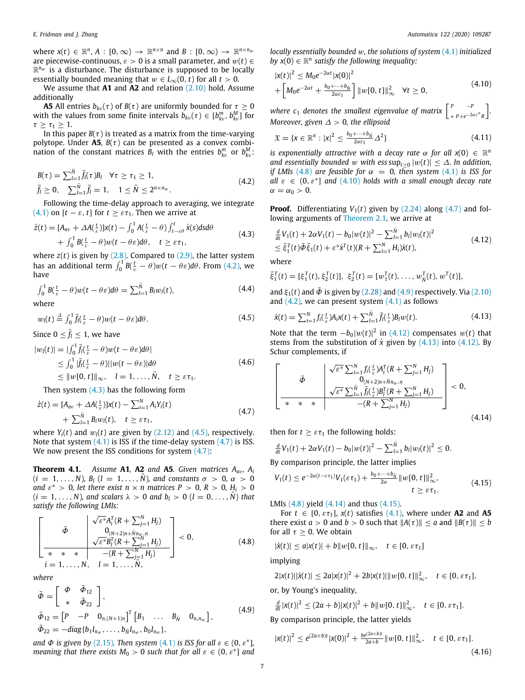where  $x(t) \in \mathbb{R}^n$ ,  $A : [0, \infty) \to \mathbb{R}^{n \times n}$  and  $B : [0, \infty) \to \mathbb{R}^{n \times n_w}$ are piecewise-continuous,  $\varepsilon > 0$  is a small parameter, and  $w(t) \in$  $\mathbb{R}^{n_w}$  is a disturbance. The disturbance is supposed to be locally essentially bounded meaning that  $w \in L_{\infty}(0, t)$  for all  $t > 0$ .

We assume that **A1** and **A2** and relation [\(2.10](#page-2-1)) hold. Assume additionally

**A5** All entries  $b_{kv}(\tau)$  of  $B(\tau)$  are uniformly bounded for  $\tau \geq 0$ with the values from some finite intervals  $b_{kv}(\tau) \in [b_{kv}^m, b_{kv}^M]$  for  $\tau \geq \tau_1 \geq 1$ .

In this paper  $B(\tau)$  is treated as a matrix from the time-varying polytope. Under  $\overline{AB}$ ,  $B(\tau)$  can be presented as a convex combination of the constant matrices  $B_l$  with the entries  $b_{kv}^m$  or  $b_{kv}^M$ :

$$
B(\tau) = \sum_{l=1}^{\bar{N}} \bar{f}_l(\tau) B_l \quad \forall \tau \ge \tau_1 \ge 1,
$$
  
\n
$$
\bar{f}_l \ge 0, \quad \sum_{l=1}^{\bar{N}} \bar{f}_l = 1, \quad 1 \le \bar{N} \le 2^{n \times n_w}.
$$
\n(4.2)

Following the time-delay approach to averaging, we integrate ([4.1](#page-5-12)) on  $[t - \varepsilon, t]$  for  $t \geq \varepsilon \tau_1$ . Then we arrive at

$$
\dot{z}(t) = [A_{av} + \Delta A(\frac{t}{\varepsilon})]x(t) - \int_0^1 A(\frac{t}{\varepsilon} - \theta) \int_{t-\varepsilon\theta}^t \dot{x}(s) ds d\theta + \int_0^1 B(\frac{t}{\varepsilon} - \theta) w(t - \theta \varepsilon) d\theta, \quad t \ge \varepsilon \tau_1,
$$
\n(4.3)

where  $z(t)$  is given by  $(2.8)$  $(2.8)$  $(2.8)$ . Compared to  $(2.9)$  $(2.9)$  $(2.9)$ , the latter system has an additional term  $\int_0^1 B(\frac{t}{\varepsilon}-\theta)w(t-\theta\varepsilon)d\theta.$  From [\(4.2\)](#page-6-0), we have

$$
\int_0^1 B(\frac{t}{\varepsilon} - \theta) w(t - \theta \varepsilon) d\theta = \sum_{l=1}^{\tilde{N}} B_l w_l(t),
$$
\nwhere

$$
w_l(t) \stackrel{\Delta}{=} \int_0^1 \bar{f}_l(\frac{t}{\varepsilon} - \theta) w(t - \theta \varepsilon) d\theta.
$$
 (4.5)

Since  $0 \leq \bar{f}_l \leq 1$ , we have

$$
|w_l(t)| = |\int_0^1 \overline{f}_l(\frac{t}{\varepsilon} - \theta)w(t - \theta \varepsilon)d\theta|
$$
  
\n
$$
\leq \int_0^1 |\overline{f}_l(\frac{t}{\varepsilon} - \theta)||w(t - \theta \varepsilon)|d\theta
$$
  
\n
$$
\leq ||w[0, t]||_{\infty}, \quad l = 1, ..., \overline{N}, \quad t \geq \varepsilon \tau_1.
$$
\n(4.6)

Then system [\(4.3\)](#page-6-1) has the following form

$$
\dot{z}(t) = [A_{av} + \Delta A(\frac{t}{\varepsilon})]x(t) - \sum_{i=1}^{N} A_i Y_i(t) + \sum_{i=1}^{\tilde{N}} B_i w_i(t), \quad t \ge \varepsilon \tau_1,
$$
\n(4.7)

where  $Y_i(t)$  and  $w_i(t)$  are given by  $(2.12)$  $(2.12)$  and  $(4.5)$  $(4.5)$  $(4.5)$ , respectively. Note that system  $(4.1)$  is ISS if the time-delay system  $(4.7)$  is ISS. We now present the ISS conditions for system  $(4.7)$ :

<span id="page-6-14"></span>**Theorem 4.1.** *Assume* **A1***,* **A2** *and* **A5***. Given matrices Aa*v*, A<sup>i</sup>*  $(i = 1, ..., N)$ *,*  $B_i$   $(l = 1, ..., N)$ *, and constants*  $\sigma > 0$ *,*  $\alpha > 0$ *and*  $\varepsilon^* > 0$ , let there exist  $n \times n$  matrices  $P > 0$ ,  $R > 0$ ,  $H_i > 0$  $(i = 1, ..., N)$ *, and scalars*  $\lambda > 0$  *and b*<sub>*l*</sub>  $> 0$  (*l* = 0, ..., *N*) *that satisfy the following LMIs:* √

$$
\left[\begin{array}{c|c}\n\bar{\Phi} & \sqrt{\varepsilon^*} A_i^T (R + \sum_{j=1}^N H_j) \\
0_{(N+2)n + \bar{N} n w, n} & 0 \\
\hline\n\sqrt{\varepsilon^*} B_i^T (R + \sum_{j=1}^N H_j) & 0, \\
\hline\n\ast & \ast & -(R + \sum_{j=1}^N H_j) \\
i = 1, \dots, N, \quad l = 1, \dots, \bar{N},\n\end{array}\right] < 0,
$$
\n(4.8)

*where*

$$
\begin{aligned}\n\bar{\Phi} &= \begin{bmatrix} \Phi & \bar{\Phi}_{12} \\ * & \bar{\Phi}_{22} \end{bmatrix}, \\
\bar{\Phi}_{12} &= \begin{bmatrix} P & -P & 0_{n,(N+1)n} \end{bmatrix}^T \begin{bmatrix} B_1 & \dots & B_{\bar{N}} & 0_{n,n_w} \end{bmatrix}, \\
\bar{\Phi}_{22} &= -diag\{b_1 I_{n_w}, \dots, b_{\bar{N}} I_{n_w}, b_0 I_{n_w}\},\n\end{aligned} \tag{4.9}
$$

*and*  $\Phi$  *is given by* [\(2.15\)](#page-2-11). Then system [\(4.1\)](#page-5-12) *is ISS for all*  $\varepsilon \in (0, \varepsilon^*]$ , *meaning that there exists*  $M_0 > 0$  *such that for all*  $\varepsilon \in (0, \varepsilon^*]$  *and*  *locally essentially bounded* w*, the solutions of system* ([4.1](#page-5-12)) *initialized by*  $x(0) \in \mathbb{R}^n$  satisfy the following inequality:

<span id="page-6-5"></span>
$$
|x(t)|^2 \le M_0 e^{-2\alpha t} |x(0)|^2
$$
  
+  $\left[M_0 e^{-2\alpha t} + \frac{b_0 + \dots + b_{\tilde{N}}}{2\alpha c_1}\right] ||w[0, t]||_{\infty}^2 \quad \forall t \ge 0,$  (4.10)

*where c*<sub>1</sub> denotes the smallest eigenvalue of matrix  $\begin{bmatrix} P & -P & -P \\ P & P & -P \end{bmatrix}$ ∗ *P*+*e* <sup>−</sup>2αε<sup>∗</sup> *R* ] *. Moreover, given* ∆ > 0*, the ellipsoid*

<span id="page-6-13"></span>
$$
\mathfrak{X} = \{ \mathbf{x} \in \mathbb{R}^n : |\mathbf{x}|^2 \le \frac{b_0 + \dots + b_{\bar{N}}}{2\alpha c_1} \Delta^2 \}
$$
\n(4.11)

<span id="page-6-0"></span>*is exponentially attractive with a decay rate*  $\alpha$  *for all*  $x(0) \in \mathbb{R}^n$ *and essentially bounded* w with ess  $\sup_{t\geq 0} |w(t)| \leq \Delta$ . In addition, *if LMIs* [\(4.8\)](#page-6-4) *are feasible for*  $\alpha = 0$ , *then system* [\(4.1\)](#page-5-12) *is ISS for*  $all \varepsilon \in (0, \varepsilon^*]$  and  $(4.10)$  $(4.10)$  $(4.10)$  holds with a small enough decay rate  $\alpha = \alpha_0 > 0$ .

**Proof.** Differentiating  $V_1(t)$  given by  $(2.24)$  $(2.24)$  $(2.24)$  along  $(4.7)$  $(4.7)$  $(4.7)$  and following arguments of [Theorem](#page-2-13) [2.1](#page-2-13), we arrive at

<span id="page-6-7"></span><span id="page-6-1"></span>
$$
\frac{d}{dt}V_1(t) + 2\alpha V_1(t) - b_0|w(t)|^2 - \sum_{l=1}^{\tilde{N}} b_l|w_l(t)|^2
$$
\n
$$
\leq \bar{\xi}_1^T(t)\bar{\Phi}\bar{\xi}_1(t) + \varepsilon^* \dot{x}^T(t)(R + \sum_{i=1}^N H_i)\dot{x}(t),
$$
\n(4.12)

where

$$
\bar{\xi}_1^T(t) = [\xi_1^T(t), \xi_2^T(t)], \ \xi_2^T(t) = [w_1^T(t), \dots, w_N^T(t), w^T(t)],
$$

<span id="page-6-12"></span>and  $\xi_1(t)$  and  $\overline{\Phi}$  is given by ([2.28\)](#page-3-9) and [\(4.9\)](#page-6-6) respectively. Via [\(2.10\)](#page-2-1) and  $(4.2)$  $(4.2)$  $(4.2)$ , we can present system  $(4.1)$  $(4.1)$  $(4.1)$  as follows

<span id="page-6-8"></span><span id="page-6-2"></span>
$$
\dot{x}(t) = \sum_{i=1}^{N} f_i(\frac{t}{\varepsilon}) A_i x(t) + \sum_{l=1}^{N} \bar{f}_l(\frac{t}{\varepsilon}) B_l w(t).
$$
 (4.13)

Note that the term  $-b_0|w(t)|^2$  in [\(4.12\)](#page-6-7) compensates  $w(t)$  that stems from the substitution of  $\dot{x}$  given by ([4.13\)](#page-6-8) into [\(4.12\)](#page-6-7). By Schur complements, if

$$
\left[\begin{array}{c|c} & \sqrt{\varepsilon^*} \sum_{i=1}^N f_i(\frac{t}{\varepsilon}) A_i^T (R + \sum_{j=1}^N H_j) \\ 0_{(N+2)n + \bar{N}n_w, n} & 0_{(N+2)n + \bar{N}n_w, n} \\ \hline \frac{\sqrt{\varepsilon^*} \sum_{l=1}^N \bar{f}_l(\frac{t}{\varepsilon}) B_l^T (R + \sum_{j=1}^N H_j)}{-(R + \sum_{j=1}^N H_j)} & 0, \\ \end{array}\right] < 0, \tag{4.14}
$$

<span id="page-6-3"></span>then for  $t \geq \varepsilon \tau_1$  the following holds:

<span id="page-6-10"></span><span id="page-6-9"></span>
$$
\frac{d}{dt}V_1(t) + 2\alpha V_1(t) - b_0|w(t)|^2 - \sum_{l=1}^{\bar{N}} b_l|w_l(t)|^2 \leq 0.
$$

By comparison principle, the latter implies

$$
V_1(t) \le e^{-2\alpha(t-\varepsilon\tau_1)}V_1(\varepsilon\tau_1) + \frac{b_0 + \dots + b_{\tilde{N}}}{2\alpha} ||w[0, t]||_{\infty}^2, \n t \ge \varepsilon\tau_1.
$$
\n(4.15)

LMIs ([4.8](#page-6-4)) yield ([4.14\)](#page-6-9) and thus [\(4.15\)](#page-6-10).

For  $t \in [0, \varepsilon \tau_1]$ ,  $x(t)$  satisfies [\(4.1\)](#page-5-12), where under **A2** and **A5** there exist  $a > 0$  and  $b > 0$  such that  $||A(\tau)|| \le a$  and  $||B(\tau)|| \le b$ for all  $\tau \geq 0$ . We obtain

<span id="page-6-4"></span>
$$
|\dot{x}(t)| \leq a|x(t)| + b||w[0, t]||_{\infty}, \quad t \in [0, \varepsilon\tau_1]
$$

implying

$$
2|x(t)||\dot{x}(t)| \leq 2a|x(t)|^2 + 2b|x(t)||w[0, t]||_{\infty}^2, \quad t \in [0, \varepsilon\tau_1],
$$

or, by Young's inequality,

$$
\frac{d}{dt}|x(t)|^2 \le (2a+b)|x(t)|^2 + b||w[0, t]||_{\infty}^2, \quad t \in [0, \varepsilon\tau_1].
$$

<span id="page-6-6"></span>By comparison principle, the latter yields

<span id="page-6-11"></span>
$$
|x(t)|^2 \le e^{(2a+b)t} |x(0)|^2 + \frac{be^{(2a+b)t}}{2a+b} ||w[0, t]||_{\infty}^2, \quad t \in [0, \varepsilon \tau_1].
$$
\n(4.16)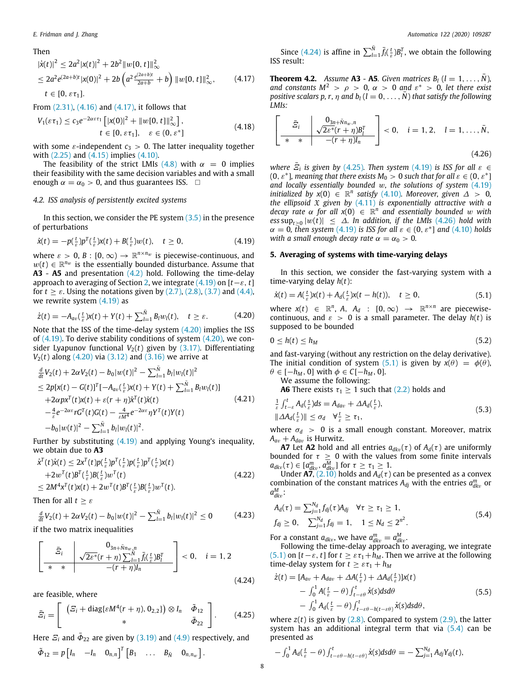### Then

$$
|\dot{x}(t)|^2 \le 2a^2 |x(t)|^2 + 2b^2 ||w[0, t]||_{\infty}^2
$$
  
\n
$$
\le 2a^2 e^{(2a+b)t} |x(0)|^2 + 2b \left( a^2 \frac{e^{(2a+b)t}}{2a+b} + b \right) ||w[0, t]||_{\infty}^2,
$$
\n(4.17)  
\n $t \in [0, \varepsilon \tau_1].$ 

From [\(2.31\)](#page-3-10), ([4.16\)](#page-6-11) and ([4.17](#page-7-1)), it follows that

$$
V_1(\varepsilon\tau_1) \le c_3 e^{-2\alpha\varepsilon\tau_1} \left[ |x(0)|^2 + \|w[0, t]\|_{\infty}^2 \right],
$$
  
\n
$$
t \in [0, \varepsilon\tau_1], \quad \varepsilon \in (0, \varepsilon^*]
$$
\n(4.18)

with some  $\varepsilon$ -independent  $c_3 > 0$ . The latter inequality together with [\(2.25\)](#page-3-8) and [\(4.15\)](#page-6-10) implies ([4.10\)](#page-6-5).

The feasibility of the strict LMIs [\(4.8\)](#page-6-4) with  $\alpha = 0$  implies their feasibility with the same decision variables and with a small enough  $\alpha = \alpha_0 > 0$ , and thus guarantees ISS.  $\Box$ 

# *4.2. ISS analysis of persistently excited systems*

In this section, we consider the PE system  $(3.5)$  $(3.5)$  $(3.5)$  in the presence of perturbations

$$
\dot{x}(t) = -p(\frac{t}{\varepsilon})p^T(\frac{t}{\varepsilon})x(t) + B(\frac{t}{\varepsilon})w(t), \quad t \ge 0,
$$
\n(4.19)

where  $\varepsilon > 0$ ,  $B : [0, \infty) \to \mathbb{R}^{n \times n_w}$  is piecewise-continuous, and  $w(t) \in \mathbb{R}^{n_w}$  is the essentially bounded disturbance. Assume that **A3** - **A5** and presentation [\(4.2\)](#page-6-0) hold. Following the time-delay approach to averaging of Section [2](#page-1-0), we integrate [\(4.19\)](#page-7-2) on [*t*−ε, *t*] for  $t \geq \varepsilon$ . Using the notations given by [\(2.7\)](#page-1-10), [\(2.8\)](#page-2-14), [\(3.7\)](#page-5-13) and [\(4.4\)](#page-6-12), we rewrite system ([4.19](#page-7-2)) as

$$
\dot{z}(t) = -A_{av}(\frac{t}{\varepsilon})x(t) + Y(t) + \sum_{l=1}^{\bar{N}} B_l w_l(t), \quad t \ge \varepsilon. \tag{4.20}
$$

Note that the ISS of the time-delay system [\(4.20](#page-7-3)) implies the ISS of  $(4.19)$  $(4.19)$  $(4.19)$ . To derive stability conditions of system  $(4.20)$ , we consider Lyapunov functional  $V_2(t)$  given by  $(3.17)$ . Differentiating  $V_2(t)$  along  $(4.20)$  $(4.20)$  $(4.20)$  via  $(3.12)$  $(3.12)$  and  $(3.16)$  we arrive at

$$
\frac{d}{dt}V_2(t) + 2\alpha V_2(t) - b_0|w(t)|^2 - \sum_{l=1}^{\tilde{N}} b_l|w_l(t)|^2
$$
\n
$$
\leq 2p[x(t) - G(t)]^T[-A_{av}(\frac{t}{\varepsilon})x(t) + Y(t) + \sum_{l=1}^{\tilde{N}} B_lw_l(t)]
$$
\n
$$
+ 2\alpha px^T(t)x(t) + \varepsilon(r + \eta)\dot{x}^T(t)\dot{x}(t)
$$
\n
$$
-\frac{4}{\varepsilon}e^{-2\alpha\varepsilon}rG^T(t)G(t) - \frac{4}{\varepsilon M^4}e^{-2\alpha\varepsilon}\eta Y^T(t)Y(t)
$$
\n
$$
-b_0|w(t)|^2 - \sum_{l=1}^{\tilde{N}} b_l|w_l(t)|^2.
$$
\n(4.21)

Further by substituting ([4.19](#page-7-2)) and applying Young's inequality, we obtain due to **A3**

$$
\dot{\chi}^T(t)\dot{\chi}(t) \le 2x^T(t)p(\frac{t}{\varepsilon})p^T(\frac{t}{\varepsilon})p(\frac{t}{\varepsilon})\chi(t) \n+2w^T(t)B^T(\frac{t}{\varepsilon})B(\frac{t}{\varepsilon})w^T(t) \n\le 2M^4x^T(t)\chi(t) + 2w^T(t)B^T(\frac{t}{\varepsilon})B(\frac{t}{\varepsilon})w^T(t).
$$
\n(4.22)

Then for all  $t \geq \varepsilon$ 

$$
\frac{d}{dt}V_2(t) + 2\alpha V_2(t) - b_0|w(t)|^2 - \sum_{l=1}^{\bar{N}} b_l|w_l(t)|^2 \le 0
$$
\n(4.23)

if the two matrix inequalities

$$
\left[\begin{array}{c|c} & 0_{3n+\bar{N}n_w,n} & 0 & 0 & 0\\ \hline \bar{z}_i & \sqrt{2\varepsilon^* (r+\eta) \sum_{l=1}^N \bar{f}_l(\frac{t}{\varepsilon}) B_l^T} & 0, & i=1,2\\ \hline \ast & \ast & -(r+\eta)I_n & \end{array}\right] < 0, \quad i=1,2
$$
\n(4.24)

are feasible, where

$$
\bar{E}_i = \left[ \begin{array}{cc} \left( E_i + \text{diag}\{\varepsilon M^4(r + \eta), 0_{2,2}\} \right) \otimes I_n & \tilde{\Phi}_{12} \\ * & \tilde{\Phi}_{22} \end{array} \right]. \tag{4.25}
$$

Here  $\mathcal{Z}_i$  and  $\bar{\mathcal{P}}_{22}$  are given by [\(3.19\)](#page-5-15) and ([4.9](#page-6-6)) respectively, and  $\tilde{\Phi}_{12} = p \begin{bmatrix} I_n & -I_n & 0_{n,n} \end{bmatrix}^T \begin{bmatrix} B_1 & \dots & B_{\bar{N}} & 0_{n,n_w} \end{bmatrix}.$ 

Since ([4.24](#page-7-4)) is affine in  $\sum_{l=1}^{\bar{N}} \bar{f}_l(\frac{t}{\varepsilon}) B_l^T$ , we obtain the following ISS result:

<span id="page-7-1"></span>**Theorem 4.2.** *Assume* **A3** *-* **A5***. Given matrices*  $B_l$  *(* $l = 1, ..., N$ *), and constants*  $M^2 > \rho > 0$ ,  $\alpha > 0$  *and*  $\varepsilon^* > 0$ , let there exist *positive scalars p, r,*  $\eta$  *and*  $b_l$  ( $l = 0, \ldots, \overline{N}$ ) *that satisfy the following LMIs:*

<span id="page-7-6"></span>
$$
\left[\begin{array}{c|c}\bar{\mathcal{Z}}_{i} & \mathbf{0}_{3n+\bar{N}n_{w},n} \\ \hline * & -\frac{1}{2}(\bar{\mathcal{Z}}_{i} + \eta)B_{l}^{T} \\ \hline \end{array}\right] < 0, \quad i = 1, 2, \quad l = 1, \ldots, \bar{N},
$$
\n
$$
(4.26)
$$

*where*  $\overline{E}_i$  *is given by* [\(4.25](#page-7-5)). Then system ([4.19](#page-7-2)) *is ISS for all*  $\varepsilon \in$  $(0, \varepsilon^*]$ , meaning that there exists  $M_0 > 0$  such that for all  $\varepsilon \in (0, \varepsilon^*]$ *and locally essentially bounded* w*, the solutions of system* [\(4.19\)](#page-7-2) *initialized by*  $x(0) \in \mathbb{R}^n$  *satisfy* ([4.10](#page-6-5))*. Moreover, given*  $\Delta > 0$ *, the ellipsoid* X *given by* ([4.11\)](#page-6-13) *is exponentially attractive with a decay rate*  $\alpha$  *for all*  $x(0) \in \mathbb{R}^n$  *and essentially bounded* w with  $\cos \sup_{t \geq 0} |w(t)| \leq \Delta$ *. In addition, if the LMIs* [\(4.26\)](#page-7-6) *hold with*  $\alpha = 0$ , *then system* ([4.19](#page-7-2)) *is ISS for all*  $\varepsilon \in (0, \varepsilon^*]$  *and* [\(4.10](#page-6-5)) *holds with a small enough decay rate*  $\alpha = \alpha_0 > 0$ *.* 

# <span id="page-7-2"></span>**5. Averaging of systems with time-varying delays**

<span id="page-7-0"></span>In this section, we consider the fast-varying system with a time-varying delay *h*(*t*):

<span id="page-7-7"></span>
$$
\dot{x}(t) = A\left(\frac{t}{\varepsilon}\right)x(t) + A_d\left(\frac{t}{\varepsilon}\right)x(t - h(t)), \quad t \ge 0,
$$
\n(5.1)

<span id="page-7-3"></span>where  $x(t) \in \mathbb{R}^n$ , *A*, *A*<sub>*d*</sub>: [0,  $\infty$ )  $\rightarrow \mathbb{R}^{n \times n}$  are piecewisecontinuous, and  $\varepsilon > 0$  is a small parameter. The delay  $h(t)$  is supposed to be bounded

$$
0 \le h(t) \le h_M \tag{5.2}
$$

and fast-varying (without any restriction on the delay derivative). The initial condition of system [\(5.1\)](#page-7-7) is given by  $x(\theta) = \phi(\theta)$ ,  $\theta \in [-h_M, 0]$  with  $\phi \in C[-h_M, 0]$ .

We assume the following: **A6** There exists  $\tau_1 \geq 1$  such that [\(2.2\)](#page-1-2) holds and

$$
\frac{1}{\varepsilon} \int_{t-\varepsilon}^{t} A_d(\frac{\varepsilon}{\varepsilon}) ds = A_{dav} + \Delta A_d(\frac{t}{\varepsilon}),
$$
\n
$$
\|\Delta A_d(\frac{t}{\varepsilon})\| \le \sigma_d \quad \forall \frac{t}{\varepsilon} \ge \tau_1,
$$
\n
$$
(5.3)
$$

where  $\sigma_d > 0$  is a small enough constant. Moreover, matrix  $A_{av} + A_{dav}$  is Hurwitz.

**A7** Let **A2** hold and all entries  $a_{dkv}(\tau)$  of  $A_d(\tau)$  are uniformly bounded for  $\tau \geq 0$  with the values from some finite intervals  $a_{dkv}(\tau) \in [a_{dkv}^m, a_{dkv}^M]$  for  $\tau \geq \tau_1 \geq 1$ .

Under **A7**, [\(2.10\)](#page-2-1) holds and  $A_d(\tau)$  can be presented as a convex combination of the constant matrices  $A_{dj}$  with the entries  $a_{dkv}^m$  or  $a_{dkv}^M$ :

<span id="page-7-8"></span>
$$
A_d(\tau) = \sum_{j=1}^{N_d} f_{dj}(\tau) A_{dj} \quad \forall \tau \ge \tau_1 \ge 1,
$$
  
\n
$$
f_{dj} \ge 0, \quad \sum_{j=1}^{N_d} f_{dj} = 1, \quad 1 \le N_d \le 2^{n^2}.
$$
\n(5.4)

For a constant  $a_{dkv}$ , we have  $a_{dkv}^m = a_{dkv}^M$ .

Following the time-delay approach to averaging, we integrate ([5.1](#page-7-7)) on  $[t - \varepsilon, t]$  for  $t \geq \varepsilon \tau_1 + h_M$ . Then we arrive at the following time-delay system for  $t \geq \varepsilon \tau_1 + h_M$ 

<span id="page-7-9"></span><span id="page-7-4"></span>
$$
\dot{z}(t) = [A_{av} + A_{dav} + \Delta A(\frac{t}{\varepsilon}) + \Delta A_d(\frac{t}{\varepsilon})]x(t) \n- \int_0^1 A(\frac{t}{\varepsilon} - \theta) \int_{t-\varepsilon\theta}^t \dot{x}(s) ds d\theta \n- \int_0^1 A_d(\frac{t}{\varepsilon} - \theta) \int_{t-\varepsilon\theta - h(t-\varepsilon\theta)}^t \dot{x}(s) ds d\theta,
$$
\n(5.5)

<span id="page-7-5"></span>where  $z(t)$  is given by  $(2.8)$  $(2.8)$  $(2.8)$ . Compared to system  $(2.9)$  $(2.9)$  $(2.9)$ , the latter system has an additional integral term that via  $(5.4)$  can be presented as

$$
-\int_0^1 A_d(\tfrac{t}{\varepsilon}-\theta)\int_{t-\varepsilon\theta-h(t-\varepsilon\theta)}^t \dot{x}(s)dsd\theta=-\sum_{j=1}^{N_d} A_{dj}Y_{dj}(t),
$$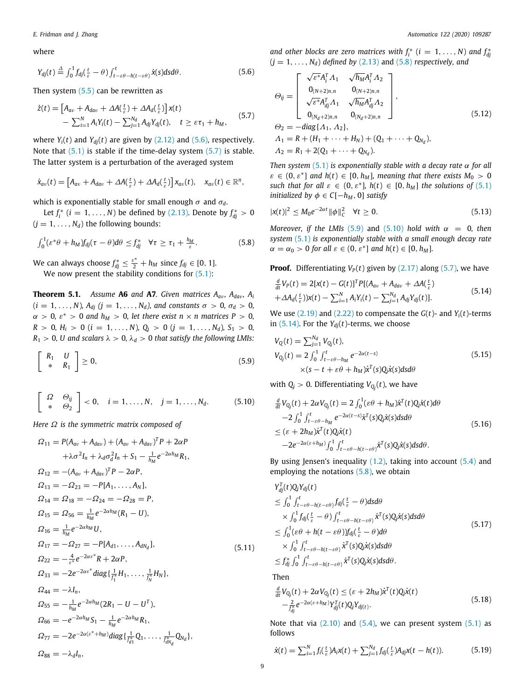where

$$
Y_{dj}(t) \stackrel{\Delta}{=} \int_0^1 f_{dj}(\frac{t}{\varepsilon} - \theta) \int_{t-\varepsilon\theta - h(t-\varepsilon\theta)}^t \dot{x}(s) ds d\theta.
$$
 (5.6)

Then system  $(5.5)$  can be rewritten as

$$
\dot{z}(t) = \left[A_{av} + A_{dav} + \Delta A(\frac{t}{\varepsilon}) + \Delta A_d(\frac{t}{\varepsilon})\right]x(t) \n- \sum_{i=1}^{N} A_i Y_i(t) - \sum_{j=1}^{N_d} A_{dj} Y_{dj}(t), \quad t \geq \varepsilon \tau_1 + h_M,
$$
\n(5.7)

where  $Y_i(t)$  and  $Y_{di}(t)$  are given by [\(2.12\)](#page-2-15) and [\(5.6\)](#page-8-0), respectively. Note that  $(5.1)$  $(5.1)$  $(5.1)$  is stable if the time-delay system  $(5.7)$  $(5.7)$  $(5.7)$  is stable. The latter system is a perturbation of the averaged system

$$
\dot{x}_{av}(t) = \left[A_{av} + A_{dav} + \Delta A(\tfrac{t}{\varepsilon}) + \Delta A_d(\tfrac{t}{\varepsilon})\right]x_{av}(t), \quad x_{av}(t) \in \mathbb{R}^n,
$$

which is exponentially stable for small enough  $\sigma$  and  $\sigma_d$ .

Let  $f_i^*$  (*i* = 1, ..., *N*) be defined by [\(2.13](#page-2-2)). Denote by  $f_{dj}^* > 0$  $(j = 1, \ldots, N_d)$  the following bounds:

$$
\int_0^1 (\varepsilon^* \theta + h_M) f_{dj}(\tau - \theta) d\theta \leq f_{dj}^* \quad \forall \tau \geq \tau_1 + \frac{h_M}{\varepsilon}.
$$
 (5.8)

We can always choose  $f_{dj}^* \leq \frac{\varepsilon^*}{2} + h_M$  since  $f_{dj} \in [0, 1].$ We now present the stability conditions for  $(5.1)$ :

<span id="page-8-12"></span>**Theorem 5.1.** *Assume* **A6** *and* **A7***. Given matrices Aa*v*, Ada*v*, A<sup>i</sup>*  $(i = 1, ..., N)$ *, A<sub>dj</sub>*  $(j = 1, ..., N_d)$ *, and constants*  $\sigma > 0$ *,*  $\sigma_d > 0$ *,*  $\alpha > 0$ ,  $\varepsilon^* > 0$  and  $h_M > 0$ , let there exist  $n \times n$  matrices  $P > 0$ ,  $R > 0$ ,  $H_i > 0$  (*i* = 1, ..., *N*),  $Q_j > 0$  (*j* = 1, ..., *N<sub>d</sub>*),  $S_1 > 0$ ,  $R_1 > 0$ , *U* and scalars  $\lambda > 0$ ,  $\lambda_d > 0$  that satisfy the following LMIs:

$$
\left[\begin{array}{cc} R_1 & U \\ * & R_1 \end{array}\right] \geq 0, \tag{5.9}
$$

$$
\left[\begin{array}{cc} \Omega & \Theta_{ij} \\ * & \Theta_2 \end{array}\right] < 0, \quad i = 1, \ldots, N, \quad j = 1, \ldots, N_d. \tag{5.10}
$$

*Here* Ω *is the symmetric matrix composed of*

$$
\Omega_{11} = P(A_{av} + A_{dav}) + (A_{av} + A_{dav})^T P + 2\alpha P
$$
  
\n
$$
+ \lambda \sigma^2 I_n + \lambda_d \sigma_d^2 I_n + S_1 - \frac{1}{h_M} e^{-2\alpha h_M} R_1,
$$
  
\n
$$
\Omega_{12} = -(A_{av} + A_{dav})^T P - 2\alpha P,
$$
  
\n
$$
\Omega_{13} = -\Omega_{23} = -P[A_1, ..., A_N],
$$
  
\n
$$
\Omega_{14} = \Omega_{18} = -\Omega_{24} = -\Omega_{28} = P,
$$
  
\n
$$
\Omega_{15} = \Omega_{56} = \frac{1}{h_M} e^{-2\alpha h_M} (R_1 - U),
$$
  
\n
$$
\Omega_{16} = \frac{1}{h_M} e^{-2\alpha h_M} U,
$$
  
\n
$$
\Omega_{17} = -\Omega_{27} = -P[A_{d1}, ..., A_{dN_d}],
$$
  
\n
$$
\Omega_{22} = -\frac{4}{\varepsilon^*} e^{-2\alpha \varepsilon^*} R + 2\alpha P,
$$
  
\n
$$
\Omega_{33} = -2e^{-2\alpha \varepsilon^*} diag\{\frac{1}{f_1^*} H_1, ..., \frac{1}{f_N^*} H_N\},
$$
  
\n
$$
\Omega_{44} = -\lambda I_n,
$$
  
\n
$$
\Omega_{55} = -\frac{1}{h_M} e^{-2\alpha h_M} (2R_1 - U - U^T),
$$
  
\n
$$
\Omega_{66} = -e^{-2\alpha h_M} S_1 - \frac{1}{h_M} e^{-2\alpha h_M} R_1,
$$
  
\n
$$
\Omega_{77} = -2e^{-2\alpha(\varepsilon^* + h_M)} diag\{\frac{1}{f_d^*} Q_1, ..., \frac{1}{f_d^* Q_N}\},
$$
  
\n
$$
\Omega_{88} = -\lambda_d I_n,
$$

*and other blocks are zero matrices with*  $f_i^*$  ( $i = 1, ..., N$ ) *and*  $f_{dj}^*$  $(j = 1, \ldots, N_d)$  *defined by* ([2.13](#page-2-2)) and ([5.8\)](#page-8-2) *respectively, and* 

<span id="page-8-9"></span><span id="page-8-1"></span><span id="page-8-0"></span>
$$
\Theta_{ij} = \begin{bmatrix}\n\sqrt{\varepsilon^*} A_i^T A_1 & \sqrt{h_M} A_i^T A_2 \\
0_{(N+2)n, n} & 0_{(N+2)n, n} \\
\sqrt{\varepsilon^*} A_{dj}^T A_1 & \sqrt{h_M} A_{dj}^T A_2 \\
0_{(N_d+2)n, n} & 0_{(N_d+2)n, n}\n\end{bmatrix},
$$
\n(5.12)\n
$$
\Theta_2 = -diag\{A_1, A_2\},
$$
\n
$$
A_1 = R + (H_1 + \dots + H_N) + (Q_1 + \dots + Q_{N_d}),
$$
\n
$$
A_2 = R_1 + 2(Q_1 + \dots + Q_{N_d}).
$$

*Then system* ([5.1\)](#page-7-7) *is exponentially stable with a decay rate* α *for all*  $\varepsilon \in (0, \varepsilon^*]$  and  $h(t) \in [0, h_M]$ , meaning that there exists  $M_0 > 0$ *such that for all*  $\varepsilon \in (0, \varepsilon^*]$ ,  $h(t) \in [0, h_M]$  *the solutions of* [\(5.1\)](#page-7-7) *initialized by*  $\phi \in C[-h_M, 0]$  *satisfy* 

<span id="page-8-11"></span>
$$
|x(t)|^2 \le M_0 e^{-2\alpha t} \|\phi\|_{C}^2 \quad \forall t \ge 0.
$$
 (5.13)

<span id="page-8-2"></span>*Moreover, if the LMIs* ([5.9](#page-8-3)) and [\(5.10\)](#page-8-4) *hold with*  $\alpha = 0$ , *then system* ([5.1](#page-7-7)) *is exponentially stable with a small enough decay rate*  $\alpha = \alpha_0 > 0$  for all  $\varepsilon \in (0, \varepsilon^*]$  and  $h(t) \in [0, h_M]$ .

**Proof.** Differentiating  $V_P(t)$  given by  $(2.17)$  $(2.17)$  $(2.17)$  along  $(5.7)$  $(5.7)$  $(5.7)$ , we have

<span id="page-8-5"></span>
$$
\frac{d}{dt}V_P(t) = 2[x(t) - G(t)]^T P[(A_{av} + A_{dav} + \Delta A(\frac{t}{\varepsilon}) + \Delta A(\frac{t}{\varepsilon}))X(t) - \sum_{i=1}^N A_i Y_i(t) - \sum_{j=1}^{N_d} A_{dj} Y_{dj}(t)].
$$
\n(5.14)

We use ([2.19\)](#page-2-7) and [\(2.22](#page-2-8)) to compensate the *G*(*t*)- and *Yi*(*t*)-terms in  $(5.14)$  $(5.14)$  $(5.14)$ . For the  $Y_{dj}(t)$ -terms, we choose

<span id="page-8-7"></span><span id="page-8-3"></span>
$$
V_{Q}(t) = \sum_{j=1}^{N_d} V_{Q_j}(t),
$$
  
\n
$$
V_{Q_j}(t) = 2 \int_0^1 \int_{t-\varepsilon\theta - h_M}^t e^{-2\alpha(t-s)} \times (5.15)
$$
  
\n
$$
\times (s - t + \varepsilon\theta + h_M)\dot{x}^T(s)Q_j\dot{x}(s)dsd\theta
$$
\n(5.15)

with  $Q_j > 0$ . Differentiating  $V_{Q_j}(t)$ , we have

<span id="page-8-4"></span>
$$
\frac{d}{dt}V_{Q_j}(t) + 2\alpha V_{Q_j}(t) = 2 \int_0^1 (\varepsilon \theta + h_M)\dot{x}^T(t)Q_j\dot{x}(t)d\theta \n-2 \int_0^1 \int_{t-\varepsilon \theta - h_M}^t e^{-2\alpha(t-s)}\dot{x}^T(s)Q_j\dot{x}(s)dsd\theta \n\le (\varepsilon + 2h_M)\dot{x}^T(t)Q_j\dot{x}(t) \n-2e^{-2\alpha(\varepsilon + h_M)} \int_0^1 \int_{t-\varepsilon \theta - h(t-\varepsilon \theta)}^t \dot{x}^T(s)Q_j\dot{x}(s)dsd\theta.
$$
\n(5.16)

By using Jensen's inequality  $(1.2)$  $(1.2)$  $(1.2)$ , taking into account  $(5.4)$  and employing the notations [\(5.8\)](#page-8-2), we obtain

$$
Y_{dj}^{T}(t)Q_{j}Y_{dj}(t)
$$
\n
$$
\leq \int_{0}^{1} \int_{t-\varepsilon\theta-h(t-\varepsilon\theta)}^{t} f_{dj}(\frac{t}{\varepsilon}-\theta) ds d\theta
$$
\n
$$
\times \int_{0}^{1} f_{dj}(\frac{t}{\varepsilon}-\theta) \int_{t-\varepsilon\theta-h(t-\varepsilon\theta)}^{t} \dot{x}^{T}(s)Q_{j}\dot{x}(s) ds d\theta
$$
\n
$$
\leq \int_{0}^{1} (\varepsilon\theta+h(t-\varepsilon\theta))f_{dj}(\frac{t}{\varepsilon}-\theta) d\theta
$$
\n
$$
\times \int_{0}^{1} \int_{t-\varepsilon\theta-h(t-\varepsilon\theta)}^{t} \dot{x}^{T}(s)Q_{j}\dot{x}(s) ds d\theta
$$
\n
$$
\leq f_{dj}^{*} \int_{0}^{1} \int_{t-\varepsilon\theta-h(t-\varepsilon\theta)}^{t} \dot{x}^{T}(s)Q_{j}\dot{x}(s) ds d\theta.
$$
\n(5.17)

<span id="page-8-8"></span>Then

<span id="page-8-6"></span>
$$
\frac{d}{dt}V_{Q_j}(t) + 2\alpha V_{Q_j}(t) \le (\varepsilon + 2h_M)\dot{x}^T(t)Q_j\dot{x}(t) \n- \frac{2}{\int_{\delta j}^{\infty} e^{-2\alpha(\varepsilon + h_M)}Y_{dj}^T(t)Q_jY_{dj(t)}.
$$
\n(5.18)

Note that via  $(2.10)$  $(2.10)$  and  $(5.4)$ , we can present system  $(5.1)$  as follows

<span id="page-8-10"></span>
$$
\dot{x}(t) = \sum_{i=1}^{N} f_i(\frac{t}{\varepsilon}) A_i x(t) + \sum_{j=1}^{N_d} f_{dj}(\frac{t}{\varepsilon}) A_{dj} x(t - h(t)).
$$
\n(5.19)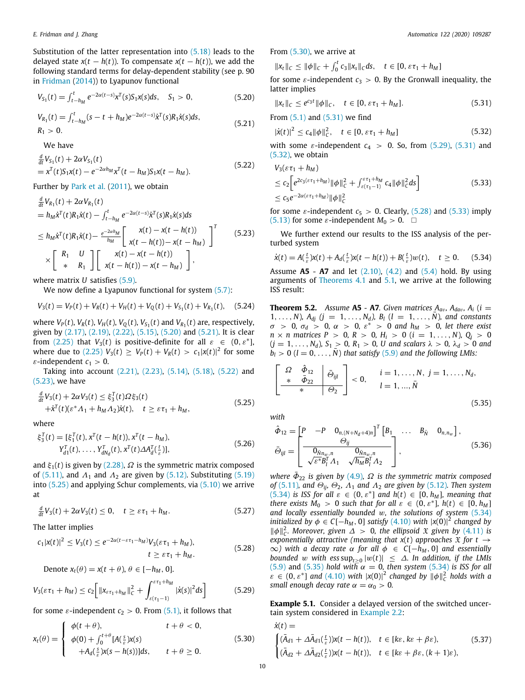Substitution of the latter representation into [\(5.18\)](#page-8-6) leads to the delayed state  $x(t - h(t))$ . To compensate  $x(t - h(t))$ , we add the following standard terms for delay-dependent stability (see p. 90 in [Fridman](#page-10-10) ([2014\)](#page-10-10)) to Lyapunov functional

$$
V_{S_1}(t) = \int_{t-h_M}^t e^{-2\alpha(t-s)} x^T(s) S_1 x(s) ds, \quad S_1 > 0,
$$
\n(5.20)

$$
V_{R_1}(t) = \int_{t-h_M}^t (s-t+h_M)e^{-2\alpha(t-s)}\dot{x}^T(s)R_1\dot{x}(s)ds,
$$
  
\n
$$
R_1 > 0.
$$
\n(5.21)

We have

$$
\frac{d}{dt}V_{S_1}(t) + 2\alpha V_{S_1}(t) \n= x^T(t)S_1x(t) - e^{-2\alpha h_M}x^T(t - h_M)S_1x(t - h_M).
$$
\n(5.22)

Further by [Park et al.](#page-10-28) [\(2011\)](#page-10-28), we obtain

$$
\frac{d}{dt}V_{R_1}(t) + 2\alpha V_{R_1}(t) \n= h_M \dot{x}^T(t)R_1 \dot{x}(t) - \int_{t-h_M}^t e^{-2\alpha(t-s)} \dot{x}^T(s)R_1 \dot{x}(s)ds \n\leq h_M \dot{x}^T(t)R_1 \dot{x}(t) - \frac{e^{-2\alpha h_M}}{h_M} \left[ \begin{array}{c} x(t) - x(t-h(t)) \\ x(t-h(t)) - x(t-h_M) \end{array} \right]^T \qquad (5.23)
$$
\n
$$
\times \left[ \begin{array}{c} R_1 & U \\ * & R_1 \end{array} \right] \left[ \begin{array}{c} x(t) - x(t-h(t)) \\ x(t-h(t)) - x(t-h_M) \end{array} \right],
$$

where matrix *U* satisfies ([5.9](#page-8-3)).

We now define a Lyapunov functional for system ([5.7](#page-8-1)):

$$
V_3(t) = V_P(t) + V_R(t) + V_H(t) + V_Q(t) + V_{S_1}(t) + V_{R_1}(t), \quad (5.24)
$$

where  $V_P(t)$ ,  $V_R(t)$ ,  $V_H(t)$ ,  $V_Q(t)$ ,  $V_{S_1}(t)$  and  $V_{R_1}(t)$  are, respectively, given by ([2.17\)](#page-2-6), ([2.19](#page-2-7)), [\(2.22\)](#page-2-8), ([5.15\)](#page-8-7), ([5.20](#page-9-0)) and [\(5.21\)](#page-9-1). It is clear from ([2.25](#page-3-8)) that  $V_3(t)$  is positive-definite for all  $\varepsilon \in (0, \varepsilon^*]$ , where due to [\(2.25](#page-3-8))  $V_3(t) \ge V_P(t) + V_R(t) > c_1 |x(t)|^2$  for some  $\varepsilon$ -independent  $c_1 > 0$ .

Taking into account [\(2.21\)](#page-2-9), ([2.23](#page-2-10)), [\(5.14\)](#page-8-5), [\(5.18](#page-8-6)), ([5.22](#page-9-2)) and ([5.23](#page-9-3)), we have

$$
\frac{d}{dt}V_3(t) + 2\alpha V_3(t) \le \xi_3^T(t)\Omega\xi_3(t) \n+ \dot{x}^T(t)(\varepsilon^* \Lambda_1 + h_M \Lambda_2)\dot{x}(t), \quad t \ge \varepsilon \tau_1 + h_M,
$$
\n(5.25)

where

$$
\xi_3^T(t) = [\xi_1^T(t), x^T(t - h(t)), x^T(t - h_M),Y_{d1}^T(t), \dots, Y_{dN_d}^T(t), x^T(t) \Delta A_d^T(\frac{t}{\varepsilon})],
$$
\n(5.26)

and  $\xi_1(t)$  is given by ([2.28](#page-3-9)),  $\Omega$  is the symmetric matrix composed of [\(5.11](#page-8-8)), and  $A_1$  and  $A_2$  are given by [\(5.12\)](#page-8-9). Substituting [\(5.19\)](#page-8-10) into [\(5.25\)](#page-9-4) and applying Schur complements, via [\(5.10\)](#page-8-4) we arrive at

$$
\frac{d}{dt}V_3(t) + 2\alpha V_3(t) \leq 0, \quad t \geq \varepsilon \tau_1 + h_M. \tag{5.27}
$$

The latter implies

$$
c_1|x(t)|^2 \le V_3(t) \le e^{-2\alpha(t-\varepsilon\tau_1 - h_M)}V_3(\varepsilon\tau_1 + h_M),
$$
  

$$
t \ge \varepsilon\tau_1 + h_M.
$$
 (5.28)

Denote 
$$
x_t(\theta) = x(t + \theta), \theta \in [-h_M, 0].
$$

$$
V_3(\varepsilon \tau_1 + h_M) \le c_2 \Big[ \|x_{\varepsilon \tau_1 + h_M}\|_C^2 + \int_{\varepsilon(\tau_1 - 1)}^{\varepsilon \tau_1 + h_M} |\dot{x}(s)|^2 ds \Big]
$$
(5.29)

for some  $\varepsilon$ -independent  $c_2 > 0$ . From [\(5.1\)](#page-7-7), it follows that

$$
x_t(\theta) = \begin{cases} \phi(t+\theta), & t+\theta < 0, \\ \phi(0) + \int_0^{t+\theta} [A(\frac{s}{\varepsilon})x(s) & t+\theta \ge 0, \\ +A_d(\frac{s}{\varepsilon})x(s-h(s))]ds, & t+\theta \ge 0. \end{cases}
$$
(5.30)

From [\(5.30\)](#page-9-5), we arrive at

$$
||x_t||_C \le ||\phi||_C + \int_0^t c_3 ||x_s||_C ds, \quad t \in [0, \varepsilon \tau_1 + h_M]
$$

for some  $\varepsilon$ -independent  $c_3 > 0$ . By the Gronwall inequality, the latter implies

<span id="page-9-0"></span>
$$
||x_t||_C \le e^{c_3 t} ||\phi||_C, \quad t \in [0, \varepsilon \tau_1 + h_M]. \tag{5.31}
$$

<span id="page-9-1"></span>From [\(5.1\)](#page-7-7) and ([5.31](#page-9-6)) we find

<span id="page-9-8"></span><span id="page-9-6"></span>
$$
|\dot{x}(t)|^2 \le c_4 \|\phi\|_{\mathcal{C}}^2, \quad t \in [0, \varepsilon \tau_1 + h_M]
$$
 (5.32)

with some  $\varepsilon$ -independent  $c_4 > 0$ . So, from ([5.29\)](#page-9-7), ([5.31](#page-9-6)) and ([5.32](#page-9-8)), we obtain

<span id="page-9-10"></span><span id="page-9-2"></span>
$$
V_3(\varepsilon \tau_1 + h_M)
$$
  
\n
$$
\leq c_2 \Big[ e^{2c_3(\varepsilon \tau_1 + h_M)} ||\phi||_C^2 + \int_{\varepsilon(\tau_1 - 1)}^{\varepsilon \tau_1 + h_M} c_4 ||\phi||_C^2 ds \Big]
$$
  
\n
$$
\leq c_5 e^{-2\alpha(\varepsilon \tau_1 + h_M)} ||\phi||_C^2
$$
\n(5.33)

for some  $\varepsilon$ -independent  $c_5 > 0$ . Clearly, [\(5.28](#page-9-9)) and [\(5.33](#page-9-10)) imply ([5.13](#page-8-11)) for some  $\varepsilon$ -independent  $M_0 > 0$ .  $\Box$ 

<span id="page-9-3"></span>We further extend our results to the ISS analysis of the perturbed system

<span id="page-9-11"></span>
$$
\dot{x}(t) = A(\frac{t}{\varepsilon})x(t) + A_d(\frac{t}{\varepsilon})x(t - h(t)) + B(\frac{t}{\varepsilon})w(t), \quad t \ge 0. \tag{5.34}
$$

Assume **A5** - **A7** and let ([2.10](#page-2-1)), [\(4.2\)](#page-6-0) and [\(5.4\)](#page-7-8) hold. By using arguments of [Theorems](#page-6-14) [4.1](#page-6-14) and [5.1,](#page-8-12) we arrive at the following ISS result:

**Theorem 5.2.** *Assume* **A5** *-* **A7***. Given matrices*  $A_{av}$ *,*  $A_{dav}$ *,*  $A_i$  *(i =*  $1, \ldots, N$ *),*  $A_{dj}$   $(j = 1, \ldots, N_d)$ ,  $B_l$   $(l = 1, \ldots, \bar{N})$ *, and constants*  $\sigma$  > 0,  $\sigma_d$  > 0,  $\alpha$  > 0,  $\varepsilon^*$  > 0 and  $h_M$  > 0, let there exist *n* × *n matrices P* > 0*, R* > 0*, H<sup>i</sup>* > 0 (*i* = 1, . . . , *N*)*, Q<sup>j</sup>* > 0  $(j = 1, ..., N_d)$ ,  $S_1 > 0$ ,  $R_1 > 0$ , U and scalars  $\lambda > 0$ ,  $\lambda_d > 0$  and  $b_l > 0$  ( $l = 0, \ldots, \overline{N}$ ) *that satisfy* ([5.9](#page-8-3)) *and the following LMIs:* 

<span id="page-9-12"></span>
$$
\left[\begin{array}{c|c}\n\Omega & \hat{\Phi}_{12} & \bar{\Theta}_{ijl} \\
\ast & \bar{\Phi}_{22} & \Theta_2\n\end{array}\right] < 0, \quad i = 1, \dots, N, \ j = 1, \dots, N_d,
$$
\n
$$
l = 1, \dots, \bar{N}
$$
\n
$$
(5.35)
$$

<span id="page-9-4"></span>*with*

$$
\hat{\Phi}_{12} = \begin{bmatrix} P & -P & 0_{n,(N+N_d+4)n} \end{bmatrix}^T \begin{bmatrix} B_1 & \dots & B_{\bar{N}} & 0_{n,n_w} \end{bmatrix},
$$
  
\n
$$
\bar{\Theta}_{ijl} = \begin{bmatrix} \frac{\Theta_{ij}}{\sqrt{\varepsilon^* B_l^T} A_1} & \frac{\Theta_{\bar{N}n_w,n}}{\sqrt{N_M B_l^T} A_2} \end{bmatrix},
$$
\n(5.36)

*where*  $\bar{\Phi}_{22}$  *is given by* [\(4.9\)](#page-6-6),  $\Omega$  *is the symmetric matrix composed of* [\(5.11\)](#page-8-8)*, and*  $\Theta_{ij}$ *,*  $\Theta_2$ *,*  $\Lambda_1$  *and*  $\Lambda_2$  *are given by* ([5.12](#page-8-9))*. Then system*  $(5.34)$  $(5.34)$  $(5.34)$  *is ISS for all*  $\varepsilon \in (0, \varepsilon^*]$  *and*  $h(t) \in [0, h_M]$ *, meaning that there exists*  $M_0 > 0$  *such that for all*  $\varepsilon \in (0, \varepsilon^*]$ ,  $h(t) \in [0, h_M]$ *and locally essentially bounded* w*, the solutions of system* [\(5.34\)](#page-9-11) *initialized by*  $\phi \in C[-h_M, 0]$  *satisfy* ([4.10\)](#page-6-5) *with*  $|x(0)|^2$  *changed by*  $\|\phi\|_{C}^{2}$ . Moreover, given  $\Delta > 0$ , the ellipsoid  $\mathfrak X$  given by ([4.11](#page-6-13)) is *exponentially attractive (meaning that*  $x(t)$  *approaches*  $\tilde{x}$  *for t*  $\rightarrow$  $\infty$ *)* with a decay rate α for all  $\phi$  ∈ C[−*h<sub>M</sub>*, 0] and essentially *bounded* w with  $\text{ess sup}_{t\geq 0} |w(t)| \leq \Delta$ . In addition, if the LMIs ([5.9](#page-8-3)) and ([5.35](#page-9-12)) *hold with*  $\alpha = 0$ , *then system* [\(5.34\)](#page-9-11) *is ISS for all*  $\varepsilon \in (0, \varepsilon^*]$  and  $(4.10)$  $(4.10)$  with  $|x(0)|^2$  changed by  $||\phi||_C^2$  holds with a *small enough decay rate*  $\alpha = \alpha_0 > 0$ *.* 

<span id="page-9-9"></span><span id="page-9-7"></span>**Example 5.1.** Consider a delayed version of the switched uncertain system considered in [Example](#page-4-7) [2.2](#page-4-7):

<span id="page-9-13"></span><span id="page-9-5"></span>
$$
\dot{x}(t) =
$$
\n
$$
\begin{cases}\n(\bar{A}_{d1} + \Delta \bar{A}_{d1}(\frac{t}{\varepsilon}))x(t - h(t)), & t \in [k\varepsilon, k\varepsilon + \beta\varepsilon), \\
(\bar{A}_{d2} + \Delta \bar{A}_{d2}(\frac{t}{\varepsilon}))x(t - h(t)), & t \in [k\varepsilon + \beta\varepsilon, (k+1)\varepsilon),\n\end{cases}
$$
\n(5.37)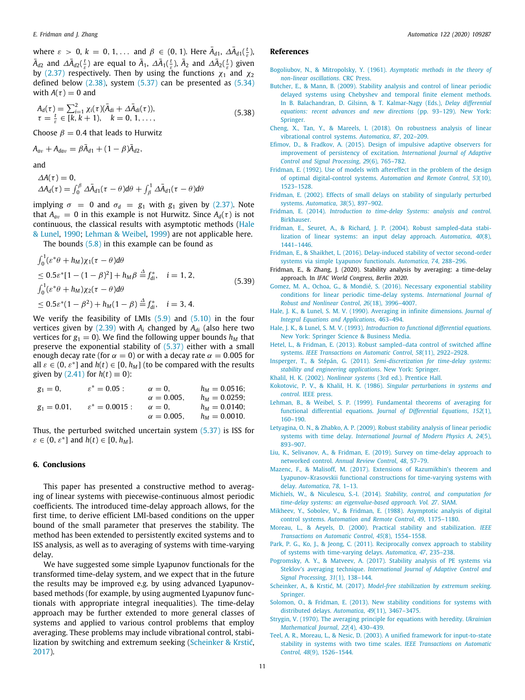where  $\varepsilon > 0$ ,  $k = 0, 1, \ldots$  and  $\beta \in (0, 1)$ . Here  $\bar{A}_{d1}$ ,  $\Delta \bar{A}_{d1}(\frac{t}{\varepsilon})$ ,  $\bar{A}_{d2}$  and  $\Delta \bar{A}_{d2}(\frac{t}{\varepsilon})$  are equal to  $\bar{A}_1$ ,  $\Delta \bar{A}_1(\frac{t}{\varepsilon})$ ,  $\bar{A}_2$  and  $\Delta \bar{A}_2(\frac{t}{\varepsilon})$  given by [\(2.37](#page-4-3)) respectively. Then by using the functions  $\chi_1$  and  $\chi_2$ defined below  $(2.38)$ , system  $(5.37)$  can be presented as  $(5.34)$ with  $A(\tau) = 0$  and

$$
A_d(\tau) = \sum_{i=1}^2 \chi_i(\tau) (\bar{A}_{di} + \Delta \bar{A}_{di}(\tau)),
$$
  
\n
$$
\tau = \frac{t}{\varepsilon} \in [k, k+1), \quad k = 0, 1, ...,
$$
\n(5.38)

Choose  $\beta = 0.4$  that leads to Hurwitz

$$
A_{av}+A_{dav}=\beta\bar{A}_{d1}+(1-\beta)\bar{A}_{d2},
$$

and

$$
\Delta A(\tau) = 0,\Delta A_d(\tau) = \int_0^\beta \Delta \bar{A}_{d1}(\tau - \theta) d\theta + \int_\beta^1 \Delta \bar{A}_{d1}(\tau - \theta) d\theta
$$

implying  $\sigma = 0$  and  $\sigma_d = g_1$  with  $g_1$  given by ([2.37](#page-4-3)). Note that  $A_{av} = 0$  in this example is not Hurwitz. Since  $A_d(\tau)$  is not continuous, the classical results with asymptotic methods [\(Hale](#page-10-13) [& Lunel](#page-10-13), [1990](#page-10-13); [Lehman & Weibel,](#page-10-14) [1999\)](#page-10-14) are not applicable here.

The bounds  $(5.8)$  in this example can be found as

$$
\int_0^1 (\varepsilon^* \theta + h_M) \chi_1(\tau - \theta) d\theta
$$
  
\n
$$
\leq 0.5 \varepsilon^* [1 - (1 - \beta)^2] + h_M \beta \stackrel{\Delta}{=} f_{di}^*, \quad i = 1, 2,
$$
  
\n
$$
\int_0^1 (\varepsilon^* \theta + h_M) \chi_2(\tau - \theta) d\theta
$$
  
\n
$$
\leq 0.5 \varepsilon^* (1 - \beta^2) + h_M (1 - \beta) \stackrel{\Delta}{=} f_{di}^*, \quad i = 3, 4.
$$
\n(5.39)

We verify the feasibility of LMIs ([5.9](#page-8-3)) and ([5.10](#page-8-4)) in the four vertices given by  $(2.39)$  $(2.39)$  with  $A_i$  changed by  $A_{di}$  (also here two vertices for  $g_1 = 0$ ). We find the following upper bounds  $h_M$  that preserve the exponential stability of ([5.37](#page-9-13)) either with a small enough decay rate (for  $\alpha = 0$ ) or with a decay rate  $\alpha = 0.005$  for all  $\varepsilon \in (0, \varepsilon^*]$  and  $h(t) \in [0, h_M]$  (to be compared with the results given by  $(2.41)$  for  $h(t) \equiv 0$ :

 $g_1 = 0,$   $\varepsilon^* = 0.05$ :  $\alpha = 0,$   $h_M = 0.0516$ ;  $\alpha = 0.005,$   $h_M = 0.0259$ ;  $\alpha = 0.005,$   $h_M = 0.0259;$ <br>  $\alpha = 0,$   $h_M = 0.0140;$  $g_1 = 0.01,$   $\varepsilon^* = 0.0015:$   $\alpha = 0,$   $h_M = 0.0140;$  $\alpha = 0.005$ ,  $h_M = 0.0010$ .

Thus, the perturbed switched uncertain system ([5.37](#page-9-13)) is ISS for  $\varepsilon \in (0, \varepsilon^*]$  and  $h(t) \in [0, h_M]$ .

### **6. Conclusions**

This paper has presented a constructive method to averaging of linear systems with piecewise-continuous almost periodic coefficients. The introduced time-delay approach allows, for the first time, to derive efficient LMI-based conditions on the upper bound of the small parameter that preserves the stability. The method has been extended to persistently excited systems and to ISS analysis, as well as to averaging of systems with time-varying delay.

We have suggested some simple Lyapunov functionals for the transformed time-delay system, and we expect that in the future the results may be improved e.g. by using advanced Lyapunovbased methods (for example, by using augmented Lyapunov functionals with appropriate integral inequalities). The time-delay approach may be further extended to more general classes of systems and applied to various control problems that employ averaging. These problems may include vibrational control, stabilization by switching and extremum seeking ([Scheinker & Krstić,](#page-10-29) [2017\)](#page-10-29).

# **References**

- <span id="page-10-0"></span>[Bogoliubov, N., & Mitropolsky, Y. \(1961\).](http://refhub.elsevier.com/S0005-1098(20)30486-6/sb1) *Asymptotic methods in the theory of [non-linear oscillations](http://refhub.elsevier.com/S0005-1098(20)30486-6/sb1)*. CRC Press.
- <span id="page-10-16"></span>[Butcher, E., & Mann, B. \(2009\). Stability analysis and control of linear periodic](http://refhub.elsevier.com/S0005-1098(20)30486-6/sb2) [delayed systems using Chebyshev and temporal finite element methods.](http://refhub.elsevier.com/S0005-1098(20)30486-6/sb2) [In B. Balachandran, D. Gilsinn, & T. Kalmar-Nagy \(Eds.\),](http://refhub.elsevier.com/S0005-1098(20)30486-6/sb2) *Delay differential [equations: recent advances and new directions](http://refhub.elsevier.com/S0005-1098(20)30486-6/sb2)* (pp. 93–129). New York: [Springer.](http://refhub.elsevier.com/S0005-1098(20)30486-6/sb2)
- <span id="page-10-1"></span>[Cheng, X., Tan, Y., & Mareels, I. \(2018\). On robustness analysis of linear](http://refhub.elsevier.com/S0005-1098(20)30486-6/sb3) [vibrational control systems.](http://refhub.elsevier.com/S0005-1098(20)30486-6/sb3) *Automatica*, *87*, 202–209.
- <span id="page-10-27"></span>[Efimov, D., & Fradkov, A. \(2015\). Design of impulsive adaptive observers for](http://refhub.elsevier.com/S0005-1098(20)30486-6/sb4) [improvement of persistency of excitation.](http://refhub.elsevier.com/S0005-1098(20)30486-6/sb4) *International Journal of Adaptive [Control and Signal Processing](http://refhub.elsevier.com/S0005-1098(20)30486-6/sb4)*, *29*(6), 765–782.
- <span id="page-10-8"></span>[Fridman, E. \(1992\). Use of models with aftereffect in the problem of the design](http://refhub.elsevier.com/S0005-1098(20)30486-6/sb5) [of optimal digital-control systems.](http://refhub.elsevier.com/S0005-1098(20)30486-6/sb5) *Automation and Remote Control*, *53*(10), [1523–1528.](http://refhub.elsevier.com/S0005-1098(20)30486-6/sb5)
- <span id="page-10-6"></span>[Fridman, E. \(2002\). Effects of small delays on stability of singularly perturbed](http://refhub.elsevier.com/S0005-1098(20)30486-6/sb6) systems. *Automatica*, *38*[\(5\), 897–902.](http://refhub.elsevier.com/S0005-1098(20)30486-6/sb6)
- <span id="page-10-10"></span>Fridman, E. (2014). *[Introduction to time-delay Systems: analysis and control](http://refhub.elsevier.com/S0005-1098(20)30486-6/sb7)*. [Birkhauser.](http://refhub.elsevier.com/S0005-1098(20)30486-6/sb7)
- <span id="page-10-9"></span>[Fridman, E., Seuret, A., & Richard, J. P. \(2004\). Robust sampled-data stabi](http://refhub.elsevier.com/S0005-1098(20)30486-6/sb8)[lization of linear systems: an input delay approach.](http://refhub.elsevier.com/S0005-1098(20)30486-6/sb8) *Automatica*, *40*(8), [1441–1446.](http://refhub.elsevier.com/S0005-1098(20)30486-6/sb8)
- <span id="page-10-24"></span>[Fridman, E., & Shaikhet, L. \(2016\). Delay-induced stability of vector second-order](http://refhub.elsevier.com/S0005-1098(20)30486-6/sb9) [systems via simple Lyapunov functionals.](http://refhub.elsevier.com/S0005-1098(20)30486-6/sb9) *Automatica*, *74*, 288–296.
- <span id="page-10-22"></span>Fridman, E., & Zhang, J. (2020). Stability analysis by averaging: a time-delay approach. In *IFAC World Congress, Berlin 2020*.
- <span id="page-10-19"></span>[Gomez, M. A., Ochoa, G., & Mondié, S. \(2016\). Necessary exponential stability](http://refhub.elsevier.com/S0005-1098(20)30486-6/sb11) [conditions for linear periodic time-delay systems.](http://refhub.elsevier.com/S0005-1098(20)30486-6/sb11) *International Journal of [Robust and Nonlinear Control](http://refhub.elsevier.com/S0005-1098(20)30486-6/sb11)*, *26*(18), 3996–4007.
- <span id="page-10-13"></span>[Hale, J. K., & Lunel, S. M. V. \(1990\). Averaging in infinite dimensions.](http://refhub.elsevier.com/S0005-1098(20)30486-6/sb12) *Journal of [Integral Equations and Applications](http://refhub.elsevier.com/S0005-1098(20)30486-6/sb12)*, 463–494.
- <span id="page-10-25"></span>Hale, J. K., & Lunel, S. M. V. (1993). *[Introduction to functional differential equations](http://refhub.elsevier.com/S0005-1098(20)30486-6/sb13)*. [New York: Springer Science & Business Media.](http://refhub.elsevier.com/S0005-1098(20)30486-6/sb13)
- <span id="page-10-11"></span>[Hetel, L., & Fridman, E. \(2013\). Robust sampled–data control of switched affine](http://refhub.elsevier.com/S0005-1098(20)30486-6/sb14) systems. *[IEEE Transactions on Automatic Control](http://refhub.elsevier.com/S0005-1098(20)30486-6/sb14)*, *58*(11), 2922–2928.
- <span id="page-10-17"></span>Insperger, T., & Stépán, G. (2011). *[Semi-discretization for time-delay systems:](http://refhub.elsevier.com/S0005-1098(20)30486-6/sb15) [stability and engineering applications](http://refhub.elsevier.com/S0005-1098(20)30486-6/sb15)*. New York: Springer.
- <span id="page-10-2"></span>Khalil, H. K. (2002). *Nonlinear systems* [\(3rd ed.\). Prentice Hall.](http://refhub.elsevier.com/S0005-1098(20)30486-6/sb16)
- <span id="page-10-3"></span>[Kokotovic, P. V., & Khalil, H. K. \(1986\).](http://refhub.elsevier.com/S0005-1098(20)30486-6/sb17) *Singular perturbations in systems and control*[. IEEE press.](http://refhub.elsevier.com/S0005-1098(20)30486-6/sb17)
- <span id="page-10-14"></span>[Lehman, B., & Weibel, S. P. \(1999\). Fundamental theorems of averaging for](http://refhub.elsevier.com/S0005-1098(20)30486-6/sb18) [functional differential equations.](http://refhub.elsevier.com/S0005-1098(20)30486-6/sb18) *Journal of Differential Equations*, *152*(1), [160–190.](http://refhub.elsevier.com/S0005-1098(20)30486-6/sb18)
- <span id="page-10-20"></span>[Letyagina, O. N., & Zhabko, A. P. \(2009\). Robust stability analysis of linear periodic](http://refhub.elsevier.com/S0005-1098(20)30486-6/sb19) systems with time delay. *[International Journal of Modern Physics A](http://refhub.elsevier.com/S0005-1098(20)30486-6/sb19)*, *24*(5), [893–907.](http://refhub.elsevier.com/S0005-1098(20)30486-6/sb19)
- <span id="page-10-12"></span>[Liu, K., Selivanov, A., & Fridman, E. \(2019\). Survey on time-delay approach to](http://refhub.elsevier.com/S0005-1098(20)30486-6/sb20) networked control. *[Annual Review Control](http://refhub.elsevier.com/S0005-1098(20)30486-6/sb20)*, *48*, 57–79.
- <span id="page-10-21"></span>[Mazenc, F., & Malisoff, M. \(2017\). Extensions of Razumikhin's theorem and](http://refhub.elsevier.com/S0005-1098(20)30486-6/sb21) [Lyapunov–Krasovskii functional constructions for time-varying systems with](http://refhub.elsevier.com/S0005-1098(20)30486-6/sb21) delay. *[Automatica](http://refhub.elsevier.com/S0005-1098(20)30486-6/sb21)*, *78*, 1–13.
- <span id="page-10-18"></span>[Michiels, W., & Niculescu, S.-I. \(2014\).](http://refhub.elsevier.com/S0005-1098(20)30486-6/sb22) *Stability, control, and computation for [time-delay systems: an eigenvalue-based approach. Vol. 27](http://refhub.elsevier.com/S0005-1098(20)30486-6/sb22)*. SIAM.
- <span id="page-10-7"></span>[Mikheev, Y., Sobolev, V., & Fridman, E. \(1988\). Asymptotic analysis of digital](http://refhub.elsevier.com/S0005-1098(20)30486-6/sb23) control systems. *[Automation and Remote Control](http://refhub.elsevier.com/S0005-1098(20)30486-6/sb23)*, *49*, 1175–1180.
- <span id="page-10-4"></span>[Moreau, L., & Aeyels, D. \(2000\). Practical stability and stabilization.](http://refhub.elsevier.com/S0005-1098(20)30486-6/sb24) *IEEE [Transactions on Automatic Control](http://refhub.elsevier.com/S0005-1098(20)30486-6/sb24)*, *45*(8), 1554–1558.
- <span id="page-10-28"></span>[Park, P. G., Ko, J., & Jeong, C. \(2011\). Reciprocally convex approach to stability](http://refhub.elsevier.com/S0005-1098(20)30486-6/sb25) [of systems with time-varying delays.](http://refhub.elsevier.com/S0005-1098(20)30486-6/sb25) *Automatica*, *47*, 235–238.
- <span id="page-10-26"></span>[Pogromsky, A. Y., & Matveev, A. \(2017\). Stability analysis of PE systems via](http://refhub.elsevier.com/S0005-1098(20)30486-6/sb26) Steklov's averaging technique. *[International Journal of Adaptive Control and](http://refhub.elsevier.com/S0005-1098(20)30486-6/sb26) [Signal Processing](http://refhub.elsevier.com/S0005-1098(20)30486-6/sb26)*, *31*(1), 138–144.
- <span id="page-10-29"></span>Scheinker, A., & Krstić, M. (2017). *[Model-free stabilization by extremum seeking](http://refhub.elsevier.com/S0005-1098(20)30486-6/sb27)*. [Springer.](http://refhub.elsevier.com/S0005-1098(20)30486-6/sb27)
- <span id="page-10-23"></span>[Solomon, O., & Fridman, E. \(2013\). New stability conditions for systems with](http://refhub.elsevier.com/S0005-1098(20)30486-6/sb28) [distributed delays.](http://refhub.elsevier.com/S0005-1098(20)30486-6/sb28) *Automatica*, *49*(11), 3467–3475.
- <span id="page-10-15"></span>[Strygin, V. \(1970\). The averaging principle for equations with heredity.](http://refhub.elsevier.com/S0005-1098(20)30486-6/sb29) *Ukrainian [Mathematical Journal](http://refhub.elsevier.com/S0005-1098(20)30486-6/sb29)*, *22*(4), 430–439.
- <span id="page-10-5"></span>[Teel, A. R., Moreau, L., & Nesic, D. \(2003\). A unified framework for input-to-state](http://refhub.elsevier.com/S0005-1098(20)30486-6/sb30) [stability in systems with two time scales.](http://refhub.elsevier.com/S0005-1098(20)30486-6/sb30) *IEEE Transactions on Automatic Control*, *48*[\(9\), 1526–1544.](http://refhub.elsevier.com/S0005-1098(20)30486-6/sb30)